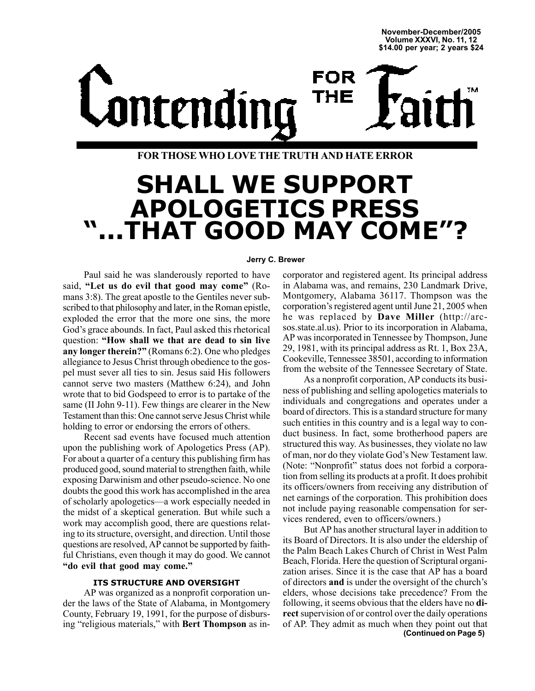**November-December/2005 Volume XXXVI, No. 11, 12 \$14.00 per year; 2 years \$24**

FOR Lontending THE

**FOR THOSE WHO LOVE THE TRUTH AND HATE ERROR**

# **SHALL WE SUPPORT APOLOGETICS PRESS ì...THAT GOOD MAY COMEî?**

### **Jerry C. Brewer**

Paul said he was slanderously reported to have said, "Let us do evil that good may come" (Romans 3:8). The great apostle to the Gentiles never subscribed to that philosophy and later, in the Roman epistle, exploded the error that the more one sins, the more God's grace abounds. In fact, Paul asked this rhetorical question: "How shall we that are dead to sin live any longer therein?" (Romans 6:2). One who pledges allegiance to Jesus Christ through obedience to the gospel must sever all ties to sin. Jesus said His followers cannot serve two masters (Matthew 6:24), and John wrote that to bid Godspeed to error is to partake of the same (II John 9-11). Few things are clearer in the New Testament than this: One cannot serve Jesus Christ while holding to error or endorsing the errors of others.

Recent sad events have focused much attention upon the publishing work of Apologetics Press (AP). For about a quarter of a century this publishing firm has produced good, sound material to strengthen faith, while exposing Darwinism and other pseudo-science. No one doubts the good this work has accomplished in the area of scholarly apologetics—a work especially needed in the midst of a skeptical generation. But while such a work may accomplish good, there are questions relating to its structure, oversight, and direction. Until those questions are resolved, AP cannot be supported by faithful Christians, even though it may do good. We cannot "do evil that good may come."

### **ITS STRUCTURE AND OVERSIGHT**

AP was organized as a nonprofit corporation under the laws of the State of Alabama, in Montgomery County, February 19, 1991, for the purpose of disbursing "religious materials," with **Bert Thompson** as in-

corporator and registered agent. Its principal address in Alabama was, and remains, 230 Landmark Drive, Montgomery, Alabama 36117. Thompson was the corporation's registered agent until June 21, 2005 when he was replaced by **Dave Miller** (http://arcsos.state.al.us). Prior to its incorporation in Alabama, AP was incorporated in Tennessee by Thompson, June 29, 1981, with its principal address as Rt. 1, Box 23A, Cookeville, Tennessee 38501, according to information from the website of the Tennessee Secretary of State.

As a nonprofit corporation, AP conducts its business of publishing and selling apologetics materials to individuals and congregations and operates under a board of directors. This is a standard structure for many such entities in this country and is a legal way to conduct business. In fact, some brotherhood papers are structured this way. As businesses, they violate no law of man, nor do they violate God's New Testament law. (Note: "Nonprofit" status does not forbid a corporation from selling its products at a profit. It does prohibit its officers/owners from receiving any distribution of net earnings of the corporation. This prohibition does not include paying reasonable compensation for services rendered, even to officers/owners.)

**(Continued on Page 5)** But AP has another structural layer in addition to its Board of Directors. It is also under the eldership of the Palm Beach Lakes Church of Christ in West Palm Beach, Florida. Here the question of Scriptural organization arises. Since it is the case that AP has a board of directors **and** is under the oversight of the church's elders, whose decisions take precedence? From the following, it seems obvious that the elders have no **direct** supervision of or control over the daily operations of AP. They admit as much when they point out that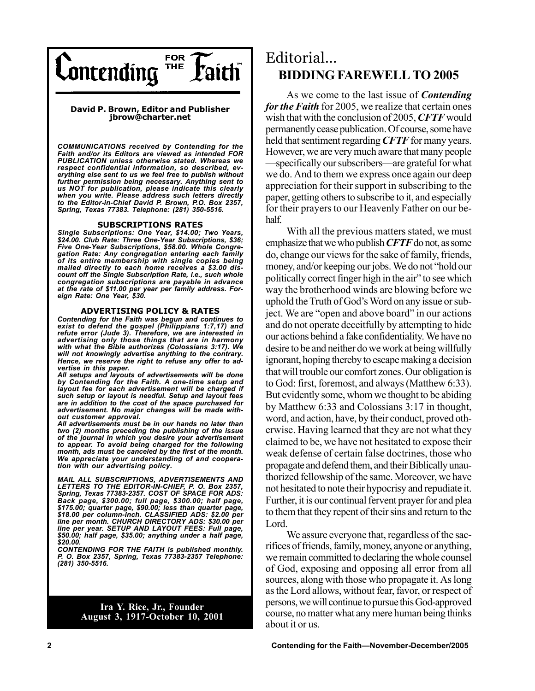

### **David P. Brown, Editor and Publisher jbrow@charter.net**

*COMMUNICATIONS received by Contending for the Faith and/or its Editors are viewed as intended FOR PUBLICATION unless otherwise stated. Whereas we respect confidential information, so described, everything else sent to us we feel free to publish without further permission being necessary. Anything sent to us NOT for publication, please indicate this clearly when you write. Please address such letters directly to the Editor-in-Chief David P. Brown, P.O. Box 2357, Spring, Texas 77383. Telephone: (281) 350-5516.*

### **SUBSCRIPTIONS RATES**

*Single Subscriptions: One Year, \$14.00; Two Years, \$24.00. Club Rate: Three One-Year Subscriptions, \$36; Five One-Year Subscriptions, \$58.00. Whole Congregation Rate: Any congregation entering each family of its entire membership with single copies being mailed directly to each home receives a \$3.00 discount off the Single Subscription Rate, i.e., such whole congregation subscriptions are payable in advance at the rate of \$11.00 per year per family address. Foreign Rate: One Year, \$30.*

#### **ADVERTISING POLICY & RATES**

*Contending for the Faith was begun and continues to exist to defend the gospel (Philippians 1:7,17) and refute error (Jude 3). Therefore, we are interested in advertising only those things that are in harmony with what the Bible authorizes (Colossians 3:17). We will not knowingly advertise anything to the contrary. Hence, we reserve the right to refuse any offer to advertise in this paper.*

*All setups and layouts of advertisements will be done by Contending for the Faith. A one-time setup and layout fee for each advertisement will be charged if such setup or layout is needful. Setup and layout fees are in addition to the cost of the space purchased for advertisement. No major changes will be made without customer approval.*

*All advertisements must be in our hands no later than two (2) months preceding the publishing of the issue of the journal in which you desire your advertisement to appear. To avoid being charged for the following month, ads must be canceled by the first of the month. We appreciate your understanding of and cooperation with our advertising policy.*

*MAIL ALL SUBSCRIPTIONS, ADVERTISEMENTS AND LETTERS TO THE EDITOR-IN-CHIEF, P. O. Box 2357, Spring, Texas 77383-2357. COST OF SPACE FOR ADS: Back page, \$300.00; full page, \$300.00; half page, \$175.00; quarter page, \$90.00; less than quarter page, \$18.00 per column-inch. CLASSIFIED ADS: \$2.00 per line per month. CHURCH DIRECTORY ADS: \$30.00 per line per year. SETUP AND LAYOUT FEES: Full page, \$50.00; half page, \$35.00; anything under a half page, \$20.00.*

*CONTENDING FOR THE FAITH is published monthly. P. O. Box 2357, Spring, Texas 77383-2357 Telephone: (281) 350-5516.*

> **Ira Y. Rice, Jr., Founder August 3, 1917-October 10, 2001**

### Editorial... **BIDDING FAREWELL TO 2005**

As we come to the last issue of *Contending for the Faith* for 2005, we realize that certain ones wish that with the conclusion of 2005, *CFTF* would permanently cease publication. Of course, some have held that sentiment regarding *CFTF* for many years. However, we are very much aware that many people Specifically our subscribers—are grateful for what we do. And to them we express once again our deep appreciation for their support in subscribing to the paper, getting others to subscribe to it, and especially for their prayers to our Heavenly Father on our behalf.

With all the previous matters stated, we must emphasize that we who publish *CFTF* do not, as some do, change our views for the sake of family, friends, money, and/or keeping our jobs. We do not "hold our politically correct finger high in the air" to see which way the brotherhood winds are blowing before we uphold the Truth of God's Word on any issue or subject. We are "open and above board" in our actions and do not operate deceitfully by attempting to hide our actions behind a fake confidentiality. We have no desire to be and neither do we work at being willfully ignorant, hoping thereby to escape making a decision that will trouble our comfort zones. Our obligation is to God: first, foremost, and always (Matthew 6:33). But evidently some, whom we thought to be abiding by Matthew 6:33 and Colossians 3:17 in thought, word, and action, have, by their conduct, proved otherwise. Having learned that they are not what they claimed to be, we have not hesitated to expose their weak defense of certain false doctrines, those who propagate and defend them, and their Biblically unauthorized fellowship of the same. Moreover, we have not hesitated to note their hypocrisy and repudiate it. Further, it is our continual fervent prayer for and plea to them that they repent of their sins and return to the Lord.

We assure everyone that, regardless of the sacrifices of friends, family, money, anyone or anything, we remain committed to declaring the whole counsel of God, exposing and opposing all error from all sources, along with those who propagate it. As long as the Lord allows, without fear, favor, or respect of persons, we will continue to pursue this God-approved course, no matter what any mere human being thinks about it or us.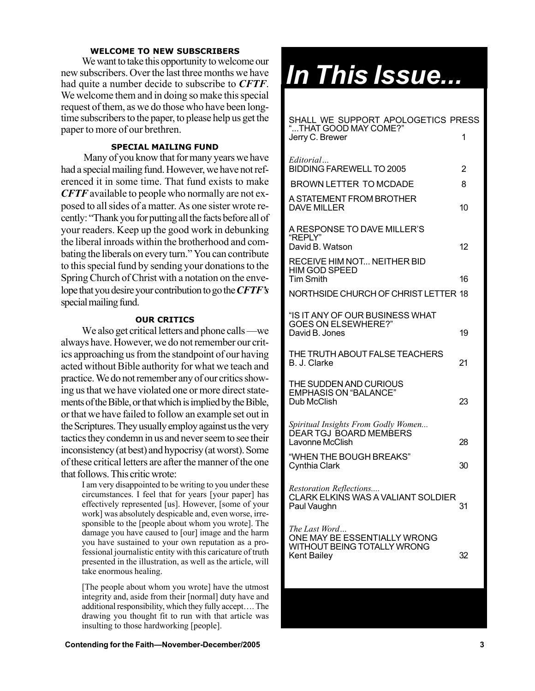### **WELCOME TO NEW SUBSCRIBERS**

We want to take this opportunity to welcome our new subscribers. Over the last three months we have had quite a number decide to subscribe to *CFTF*. We welcome them and in doing so make this special request of them, as we do those who have been longtime subscribers to the paper, to please help us get the paper to more of our brethren.

### **SPECIAL MAILING FUND**

 Many of you know that for many years we have had a special mailing fund. However, we have not referenced it in some time. That fund exists to make *CFTF* available to people who normally are not exposed to all sides of a matter. As one sister wrote recently: "Thank you for putting all the facts before all of your readers. Keep up the good work in debunking the liberal inroads within the brotherhood and combating the liberals on every turn." You can contribute to this special fund by sending your donations to the Spring Church of Christ with a notation on the envelope that you desire your contribution to go the *CFTFís* special mailing fund.

### **OUR CRITICS**

We also get critical letters and phone calls —we always have. However, we do not remember our critics approaching us from the standpoint of our having acted without Bible authority for what we teach and practice. We do not remember any of our critics showing us that we have violated one or more direct statements of the Bible, or that which is implied by the Bible, or that we have failed to follow an example set out in the Scriptures. They usually employ against us the very tactics they condemn in us and never seem to see their inconsistency (at best) and hypocrisy (at worst). Some of these critical letters are after the manner of the one that follows. This critic wrote:

I am very disappointed to be writing to you under these circumstances. I feel that for years [your paper] has effectively represented [us]. However, [some of your work] was absolutely despicable and, even worse, irresponsible to the [people about whom you wrote]. The damage you have caused to [our] image and the harm you have sustained to your own reputation as a professional journalistic entity with this caricature of truth presented in the illustration, as well as the article, will take enormous healing.

[The people about whom you wrote] have the utmost integrity and, aside from their [normal] duty have and additional responsibility, which they fully accept.... The drawing you thought fit to run with that article was insulting to those hardworking [people].

# *In This Issue...*

| SHALL WE SUPPORT APOLOGETICS PRESS<br>"THAT GOOD MAY COME?"                                        |    |
|----------------------------------------------------------------------------------------------------|----|
| Jerry C. Brewer                                                                                    | 1  |
| Editorial<br><b>BIDDING FAREWELL TO 2005</b>                                                       | 2  |
| BROWN LETTER TO MCDADE                                                                             | 8  |
| A STATEMENT FROM BROTHER<br><b>DAVE MILLER</b>                                                     | 10 |
| A RESPONSE TO DAVE MILLER'S<br>"REPLY"<br>David B. Watson                                          | 12 |
| RECEIVE HIM NOT NEITHER BID<br><b>HIM GOD SPEED</b>                                                |    |
| <b>Tim Smith</b>                                                                                   | 16 |
| NORTHSIDE CHURCH OF CHRIST LETTER 18                                                               |    |
| "IS IT ANY OF OUR BUSINESS WHAT<br><b>GOES ON ELSEWHERE?"</b><br>David B. Jones                    | 19 |
| THE TRUTH ABOUT FALSE TEACHERS<br>B. J. Clarke                                                     | 21 |
| THE SUDDEN AND CURIOUS<br><b>EMPHASIS ON "BALANCE"</b><br>Dub McClish                              | 23 |
| Spiritual Insights From Godly Women<br><b>DEAR TGJ BOARD MEMBERS</b><br>Lavonne McClish            | 28 |
| "WHEN THE BOUGH BREAKS"<br><b>Cynthia Clark</b>                                                    | 30 |
| Restoration Reflections<br>CLARK ELKINS WAS A VALIANT SOLDIER<br>Paul Vaughn                       | 31 |
| The Last Word<br>ONE MAY BE ESSENTIALLY WRONG<br>WITHOUT BEING TOTALLY WRONG<br><b>Kent Bailey</b> | 32 |

**Contending for the Faith—November-December/2005 3** 3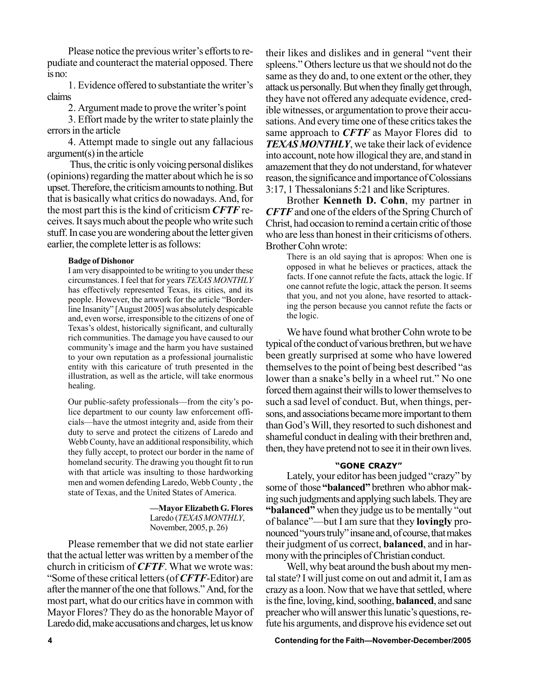Please notice the previous writer's efforts to repudiate and counteract the material opposed. There is no:

1. Evidence offered to substantiate the writer's claims

2. Argument made to prove the writer's point

3. Effort made by the writer to state plainly the errors in the article

4. Attempt made to single out any fallacious argument(s) in the article

 Thus, the critic is only voicing personal dislikes (opinions) regarding the matter about which he is so upset. Therefore, the criticism amounts to nothing. But that is basically what critics do nowadays. And, for the most part this is the kind of criticism *CFTF* receives. It says much about the people who write such stuff. In case you are wondering about the letter given earlier, the complete letter is as follows:

### **Badge of Dishonor**

I am very disappointed to be writing to you under these circumstances. I feel that for years *TEXAS MONTHLY* has effectively represented Texas, its cities, and its people. However, the artwork for the article "Borderline Insanity" [August 2005] was absolutely despicable and, even worse, irresponsible to the citizens of one of Texas's oldest, historically significant, and culturally rich communities. The damage you have caused to our community's image and the harm you have sustained to your own reputation as a professional journalistic entity with this caricature of truth presented in the illustration, as well as the article, will take enormous healing.

Our public-safety professionals—from the city's police department to our county law enforcement officials—have the utmost integrity and, aside from their duty to serve and protect the citizens of Laredo and Webb County, have an additional responsibility, which they fully accept, to protect our border in the name of homeland security. The drawing you thought fit to run with that article was insulting to those hardworking men and women defending Laredo, Webb County , the state of Texas, and the United States of America.

> **diagraber G. Flores** Laredo (*TEXAS MONTHLY*, November, 2005, p. 26)

Please remember that we did not state earlier that the actual letter was written by a member of the church in criticism of *CFTF*. What we wrote was: ìSome of these critical letters (of *CFTF*-Editor) are after the manner of the one that follows." And, for the most part, what do our critics have in common with Mayor Flores? They do as the honorable Mayor of Laredo did, make accusations and charges, let us know

their likes and dislikes and in general "vent their spleens." Others lecture us that we should not do the same as they do and, to one extent or the other, they attack us personally. But when they finally get through, they have not offered any adequate evidence, credible witnesses, or argumentation to prove their accusations. And every time one of these critics takes the same approach to *CFTF* as Mayor Flores did to *TEXAS MONTHLY*, we take their lack of evidence into account, note how illogical they are, and stand in amazement that they do not understand, for whatever reason, the significance and importance of Colossians 3:17, 1 Thessalonians 5:21 and like Scriptures.

Brother **Kenneth D. Cohn**, my partner in *CFTF* and one of the elders of the Spring Church of Christ, had occasion to remind a certain critic of those who are less than honest in their criticisms of others. Brother Cohn wrote:

There is an old saying that is apropos: When one is opposed in what he believes or practices, attack the facts. If one cannot refute the facts, attack the logic. If one cannot refute the logic, attack the person. It seems that you, and not you alone, have resorted to attacking the person because you cannot refute the facts or the logic.

We have found what brother Cohn wrote to be typical of the conduct of various brethren, but we have been greatly surprised at some who have lowered themselves to the point of being best described "as lower than a snake's belly in a wheel rut." No one forced them against their wills to lower themselves to such a sad level of conduct. But, when things, persons, and associations became more important to them than God's Will, they resorted to such dishonest and shameful conduct in dealing with their brethren and, then, they have pretend not to see it in their own lives.

### *<u><b>*GONE CRAZY"</u>

Lately, your editor has been judged "crazy" by some of those "**balanced**" brethren who abhor making such judgments and applying such labels. They are **"balanced"** when they judge us to be mentally "out of balance"—but I am sure that they **lovingly** pronounced "yours truly" insane and, of course, that makes their judgment of us correct, **balanced**, and in harmony with the principles of Christian conduct.

Well, why beat around the bush about my mental state? I will just come on out and admit it, I am as crazy as a loon. Now that we have that settled, where is the fine, loving, kind, soothing, **balanced**, and sane preacher who will answer this lunatic's questions, refute his arguments, and disprove his evidence set out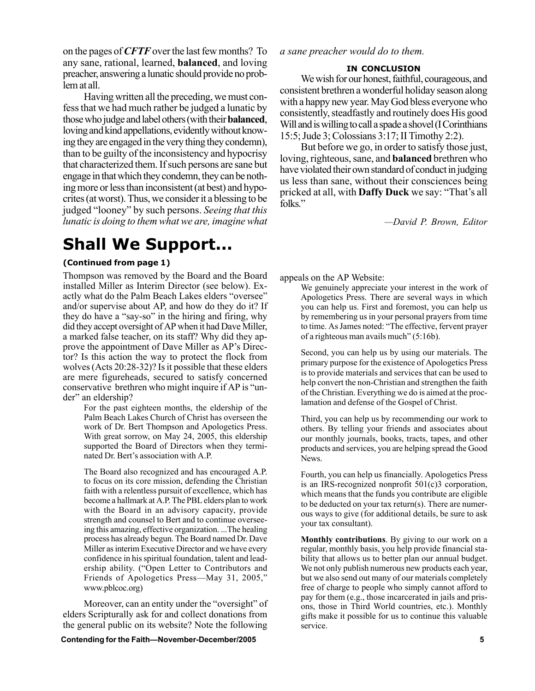on the pages of *CFTF* over the last few months? To any sane, rational, learned, **balanced**, and loving preacher, answering a lunatic should provide no problem at all.

Having written all the preceding, we must confess that we had much rather be judged a lunatic by those who judge and label others (with their **balanced**, loving and kind appellations, evidently without knowing they are engaged in the very thing they condemn), than to be guilty of the inconsistency and hypocrisy that characterized them. If such persons are sane but engage in that which they condemn, they can be nothing more or less than inconsistent (at best) and hypocrites (at worst). Thus, we consider it a blessing to be judged "looney" by such persons. *Seeing that this lunatic is doing to them what we are, imagine what*

### **Shall We Support...**

### **(Continued from page 1)**

Thompson was removed by the Board and the Board installed Miller as Interim Director (see below). Exactly what do the Palm Beach Lakes elders "oversee" and/or supervise about AP, and how do they do it? If they do have a "say-so" in the hiring and firing, why did they accept oversight of AP when it had Dave Miller, a marked false teacher, on its staff? Why did they approve the appointment of Dave Miller as AP's Director? Is this action the way to protect the flock from wolves (Acts 20:28-32)? Is it possible that these elders are mere figureheads, secured to satisfy concerned conservative brethren who might inquire if AP is "under" an eldership?

> For the past eighteen months, the eldership of the Palm Beach Lakes Church of Christ has overseen the work of Dr. Bert Thompson and Apologetics Press. With great sorrow, on May 24, 2005, this eldership supported the Board of Directors when they terminated Dr. Bert's association with A.P.

> The Board also recognized and has encouraged A.P. to focus on its core mission, defending the Christian faith with a relentless pursuit of excellence, which has become a hallmark at A.P. The PBL elders plan to work with the Board in an advisory capacity, provide strength and counsel to Bert and to continue overseeing this amazing, effective organization. ...The healing process has already begun. The Board named Dr. Dave Miller as interim Executive Director and we have every confidence in his spiritual foundation, talent and leadership ability. ("Open Letter to Contributors and Friends of Apologetics Press—May 31, 2005," www.pblcoc.org)

Moreover, can an entity under the "oversight" of elders Scripturally ask for and collect donations from the general public on its website? Note the following *a sane preacher would do to them.*

### **IN CONCLUSION**

We wish for our honest, faithful, courageous, and consistent brethren a wonderful holiday season along with a happy new year. May God bless everyone who consistently, steadfastly and routinely does His good Will and is willing to call a spade a shovel (I Corinthians 15:5; Jude 3; Colossians 3:17; II Timothy 2:2).

But before we go, in order to satisfy those just, loving, righteous, sane, and **balanced** brethren who have violated their own standard of conduct in judging us less than sane, without their consciences being pricked at all, with **Daffy Duck** we say: "That's all folks."

*óDavid P. Brown, Editor*

appeals on the AP Website:

We genuinely appreciate your interest in the work of Apologetics Press. There are several ways in which you can help us. First and foremost, you can help us by remembering us in your personal prayers from time to time. As James noted: "The effective, fervent prayer of a righteous man avails much"  $(5:16b)$ .

Second, you can help us by using our materials. The primary purpose for the existence of Apologetics Press is to provide materials and services that can be used to help convert the non-Christian and strengthen the faith of the Christian. Everything we do is aimed at the proclamation and defense of the Gospel of Christ.

Third, you can help us by recommending our work to others. By telling your friends and associates about our monthly journals, books, tracts, tapes, and other products and services, you are helping spread the Good News.

Fourth, you can help us financially. Apologetics Press is an IRS-recognized nonprofit 501(c)3 corporation, which means that the funds you contribute are eligible to be deducted on your tax return(s). There are numerous ways to give (for additional details, be sure to ask your tax consultant).

**Monthly contributions**. By giving to our work on a regular, monthly basis, you help provide financial stability that allows us to better plan our annual budget. We not only publish numerous new products each year, but we also send out many of our materials completely free of charge to people who simply cannot afford to pay for them (e.g., those incarcerated in jails and prisons, those in Third World countries, etc.). Monthly gifts make it possible for us to continue this valuable service.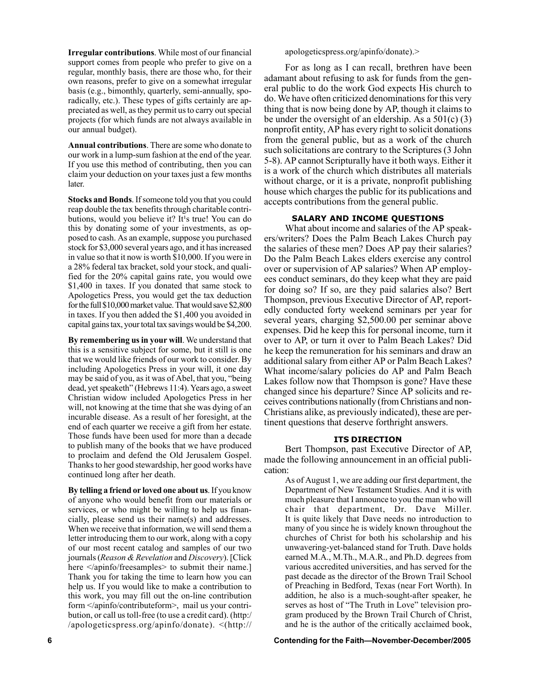**Irregular contributions**. While most of our financial support comes from people who prefer to give on a regular, monthly basis, there are those who, for their own reasons, prefer to give on a somewhat irregular basis (e.g., bimonthly, quarterly, semi-annually, sporadically, etc.). These types of gifts certainly are appreciated as well, as they permit us to carry out special projects (for which funds are not always available in our annual budget).

**Annual contributions**. There are some who donate to our work in a lump-sum fashion at the end of the year. If you use this method of contributing, then you can claim your deduction on your taxes just a few months later.

**Stocks and Bonds**. If someone told you that you could reap double the tax benefits through charitable contributions, would you believe it? It<sup>1</sup>s true! You can do this by donating some of your investments, as opposed to cash. As an example, suppose you purchased stock for \$3,000 several years ago, and it has increased in value so that it now is worth \$10,000. If you were in a 28% federal tax bracket, sold your stock, and qualified for the 20% capital gains rate, you would owe \$1,400 in taxes. If you donated that same stock to Apologetics Press, you would get the tax deduction for the full \$10,000 market value. That would save \$2,800 in taxes. If you then added the \$1,400 you avoided in capital gains tax, your total tax savings would be \$4,200.

**By remembering us in your will**. We understand that this is a sensitive subject for some, but it still is one that we would like friends of our work to consider. By including Apologetics Press in your will, it one day may be said of you, as it was of Abel, that you, "being dead, yet speaketh" (Hebrews 11:4). Years ago, a sweet Christian widow included Apologetics Press in her will, not knowing at the time that she was dying of an incurable disease. As a result of her foresight, at the end of each quarter we receive a gift from her estate. Those funds have been used for more than a decade to publish many of the books that we have produced to proclaim and defend the Old Jerusalem Gospel. Thanks to her good stewardship, her good works have continued long after her death.

**By telling a friend or loved one about us**. If you know of anyone who would benefit from our materials or services, or who might be willing to help us financially, please send us their name(s) and addresses. When we receive that information, we will send them a letter introducing them to our work, along with a copy of our most recent catalog and samples of our two journals (*Reason & Revelation* and *Discovery*). [Click here  $\langle$ /apinfo/freesamples> to submit their name.] Thank you for taking the time to learn how you can help us. If you would like to make a contribution to this work, you may fill out the on-line contribution form </apinfo/contributeform>, mail us your contribution, or call us toll-free (to use a credit card). (http:/ /apologeticspress.org/apinfo/donate). <(http:// apologeticspress.org/apinfo/donate).>

For as long as I can recall, brethren have been adamant about refusing to ask for funds from the general public to do the work God expects His church to do. We have often criticized denominations for this very thing that is now being done by AP, though it claims to be under the oversight of an eldership. As a  $501(c)$  (3) nonprofit entity, AP has every right to solicit donations from the general public, but as a work of the church such solicitations are contrary to the Scriptures (3 John 5-8). AP cannot Scripturally have it both ways. Either it is a work of the church which distributes all materials without charge, or it is a private, nonprofit publishing house which charges the public for its publications and accepts contributions from the general public.

### **SALARY AND INCOME QUESTIONS**

What about income and salaries of the AP speakers/writers? Does the Palm Beach Lakes Church pay the salaries of these men? Does AP pay their salaries? Do the Palm Beach Lakes elders exercise any control over or supervision of AP salaries? When AP employees conduct seminars, do they keep what they are paid for doing so? If so, are they paid salaries also? Bert Thompson, previous Executive Director of AP, reportedly conducted forty weekend seminars per year for several years, charging \$2,500.00 per seminar above expenses. Did he keep this for personal income, turn it over to AP, or turn it over to Palm Beach Lakes? Did he keep the remuneration for his seminars and draw an additional salary from either AP or Palm Beach Lakes? What income/salary policies do AP and Palm Beach Lakes follow now that Thompson is gone? Have these changed since his departure? Since AP solicits and receives contributions nationally (from Christians and non-Christians alike, as previously indicated), these are pertinent questions that deserve forthright answers.

### **ITS DIRECTION**

Bert Thompson, past Executive Director of AP, made the following announcement in an official publication:

As of August 1, we are adding our first department, the Department of New Testament Studies. And it is with much pleasure that I announce to you the man who will chair that department, Dr. Dave Miller. It is quite likely that Dave needs no introduction to many of you since he is widely known throughout the churches of Christ for both his scholarship and his unwavering-yet-balanced stand for Truth. Dave holds earned M.A., M.Th., M.A.R., and Ph.D. degrees from various accredited universities, and has served for the past decade as the director of the Brown Trail School of Preaching in Bedford, Texas (near Fort Worth). In addition, he also is a much-sought-after speaker, he serves as host of "The Truth in Love" television program produced by the Brown Trail Church of Christ, and he is the author of the critically acclaimed book,

#### **6 Contending for the Faith—November-December/2005**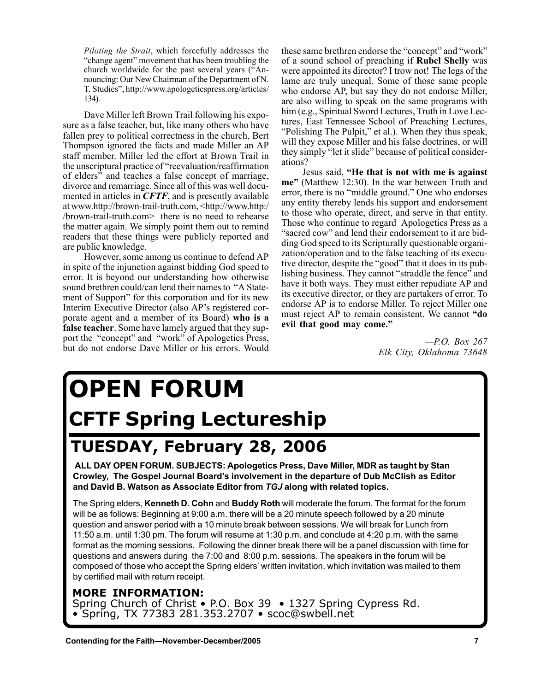*Piloting the Strait*, which forcefully addresses the "change agent" movement that has been troubling the church worldwide for the past several years ("Announcing: Our New Chairman of the Department of N. T. Studiesî, http://www.apologeticspress.org/articles/ 134).

Dave Miller left Brown Trail following his exposure as a false teacher, but, like many others who have fallen prey to political correctness in the church, Bert Thompson ignored the facts and made Miller an AP staff member. Miller led the effort at Brown Trail in the unscriptural practice of "reevaluation/reaffirmation" of eldersî and teaches a false concept of marriage, divorce and remarriage. Since all of this was well documented in articles in *CFTF*, and is presently available at www.http://brown-trail-truth.com, <http://www.http:/ /brown-trail-truth.com> there is no need to rehearse the matter again. We simply point them out to remind readers that these things were publicly reported and are public knowledge.

However, some among us continue to defend AP in spite of the injunction against bidding God speed to error. It is beyond our understanding how otherwise sound brethren could/can lend their names to "A Statement of Support" for this corporation and for its new Interim Executive Director (also AP's registered corporate agent and a member of its Board) **who is a false teacher**. Some have lamely argued that they support the "concept" and "work" of Apologetics Press, but do not endorse Dave Miller or his errors. Would these same brethren endorse the "concept" and "work" of a sound school of preaching if **Rubel Shelly** was were appointed its director? I trow not! The legs of the lame are truly unequal. Some of those same people who endorse AP, but say they do not endorse Miller, are also willing to speak on the same programs with him (e.g., Spiritual Sword Lectures, Truth in Love Lectures, East Tennessee School of Preaching Lectures, "Polishing The Pulpit," et al.). When they thus speak, will they expose Miller and his false doctrines, or will they simply "let it slide" because of political considerations?

Jesus said, **ìHe that is not with me is against** me" (Matthew 12:30). In the war between Truth and error, there is no "middle ground." One who endorses any entity thereby lends his support and endorsement to those who operate, direct, and serve in that entity. Those who continue to regard Apologetics Press as a "sacred cow" and lend their endorsement to it are bidding God speed to its Scripturally questionable organization/operation and to the false teaching of its executive director, despite the "good" that it does in its publishing business. They cannot "straddle the fence" and have it both ways. They must either repudiate AP and its executive director, or they are partakers of error. To endorse AP is to endorse Miller. To reject Miller one must reject AP to remain consistent. We cannot "do evil that good may come."

> *óP.O. Box 267 Elk City, Oklahoma 73648*

# **OPEN FORUM CFTF Spring Lectureship**

### **TUESDAY, February 28, 2006**

 **ALL DAY OPEN FORUM. SUBJECTS: Apologetics Press, Dave Miller, MDR as taught by Stan Crowley, The Gospel Journal Boardís involvement in the departure of Dub McClish as Editor and David B. Watson as Associate Editor from** *TGJ* **along with related topics.**

The Spring elders, **Kenneth D. Cohn** and **Buddy Roth** will moderate the forum. The format for the forum will be as follows: Beginning at 9:00 a.m. there will be a 20 minute speech followed by a 20 minute question and answer period with a 10 minute break between sessions. We will break for Lunch from 11:50 a.m. until 1:30 pm. The forum will resume at 1:30 p.m. and conclude at 4:20 p.m. with the same format as the morning sessions. Following the dinner break there will be a panel discussion with time for questions and answers during the 7:00 and 8:00 p.m. sessions. The speakers in the forum will be composed of those who accept the Spring elders' written invitation, which invitation was mailed to them by certified mail with return receipt.

### **MORE INFORMATION:**

Spring Church of Christ • P.O. Box 39 • 1327 Spring Cypress Rd.  $\bullet$  Spring, TX 77383 281.353.2707  $\bullet$  scoc@swbell.net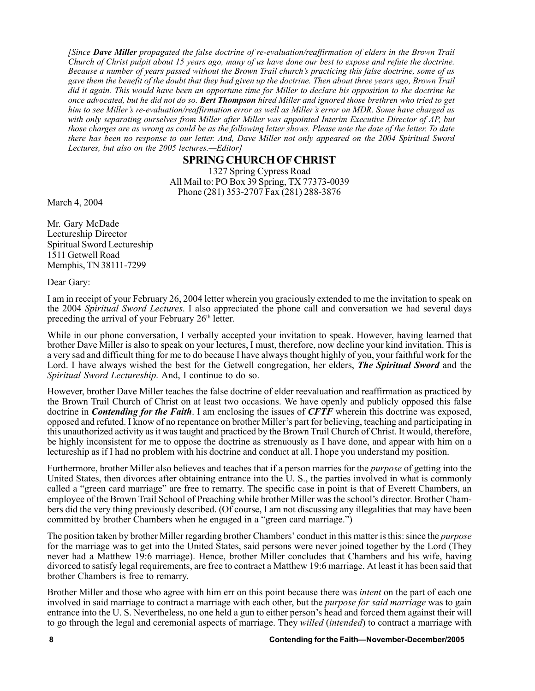*[Since Dave Miller propagated the false doctrine of re-evaluation/reaffirmation of elders in the Brown Trail Church of Christ pulpit about 15 years ago, many of us have done our best to expose and refute the doctrine. Because a number of years passed without the Brown Trail churchís practicing this false doctrine, some of us gave them the benefit of the doubt that they had given up the doctrine. Then about three years ago, Brown Trail did it again. This would have been an opportune time for Miller to declare his opposition to the doctrine he once advocated, but he did not do so. Bert Thompson hired Miller and ignored those brethren who tried to get him to see Millerís re-evaluation/reaffirmation error as well as Millerís error on MDR. Some have charged us with only separating ourselves from Miller after Miller was appointed Interim Executive Director of AP, but those charges are as wrong as could be as the following letter shows. Please note the date of the letter. To date there has been no response to our letter. And, Dave Miller not only appeared on the 2004 Spiritual Sword Lectures, but also on the 2005 lectures.-Editor]* 

### **SPRING CHURCH OF CHRIST**

1327 Spring Cypress Road All Mail to: PO Box 39 Spring, TX 77373-0039 Phone (281) 353-2707 Fax (281) 288-3876

March 4, 2004

Mr. Gary McDade Lectureship Director Spiritual Sword Lectureship 1511 Getwell Road Memphis, TN 38111-7299

Dear Gary:

I am in receipt of your February 26, 2004 letter wherein you graciously extended to me the invitation to speak on the 2004 *Spiritual Sword Lectures*. I also appreciated the phone call and conversation we had several days preceding the arrival of your February 26<sup>th</sup> letter.

While in our phone conversation, I verbally accepted your invitation to speak. However, having learned that brother Dave Miller is also to speak on your lectures, I must, therefore, now decline your kind invitation. This is a very sad and difficult thing for me to do because I have always thought highly of you, your faithful work for the Lord. I have always wished the best for the Getwell congregation, her elders, *The Spiritual Sword* and the *Spiritual Sword Lectureship*. And, I continue to do so.

However, brother Dave Miller teaches the false doctrine of elder reevaluation and reaffirmation as practiced by the Brown Trail Church of Christ on at least two occasions. We have openly and publicly opposed this false doctrine in *Contending for the Faith*. I am enclosing the issues of *CFTF* wherein this doctrine was exposed, opposed and refuted. I know of no repentance on brother Millerís part for believing, teaching and participating in this unauthorized activity as it was taught and practiced by the Brown Trail Church of Christ. It would, therefore, be highly inconsistent for me to oppose the doctrine as strenuously as I have done, and appear with him on a lectureship as if I had no problem with his doctrine and conduct at all. I hope you understand my position.

Furthermore, brother Miller also believes and teaches that if a person marries for the *purpose* of getting into the United States, then divorces after obtaining entrance into the U. S., the parties involved in what is commonly called a "green card marriage" are free to remarry. The specific case in point is that of Everett Chambers, an employee of the Brown Trail School of Preaching while brother Miller was the school's director. Brother Chambers did the very thing previously described. (Of course, I am not discussing any illegalities that may have been committed by brother Chambers when he engaged in a "green card marriage.")

The position taken by brother Miller regarding brother Chambers' conduct in this matter is this: since the *purpose* for the marriage was to get into the United States, said persons were never joined together by the Lord (They never had a Matthew 19:6 marriage). Hence, brother Miller concludes that Chambers and his wife, having divorced to satisfy legal requirements, are free to contract a Matthew 19:6 marriage. At least it has been said that brother Chambers is free to remarry.

Brother Miller and those who agree with him err on this point because there was *intent* on the part of each one involved in said marriage to contract a marriage with each other, but the *purpose for said marriage* was to gain entrance into the U. S. Nevertheless, no one held a gun to either person's head and forced them against their will to go through the legal and ceremonial aspects of marriage. They *willed* (*intended*) to contract a marriage with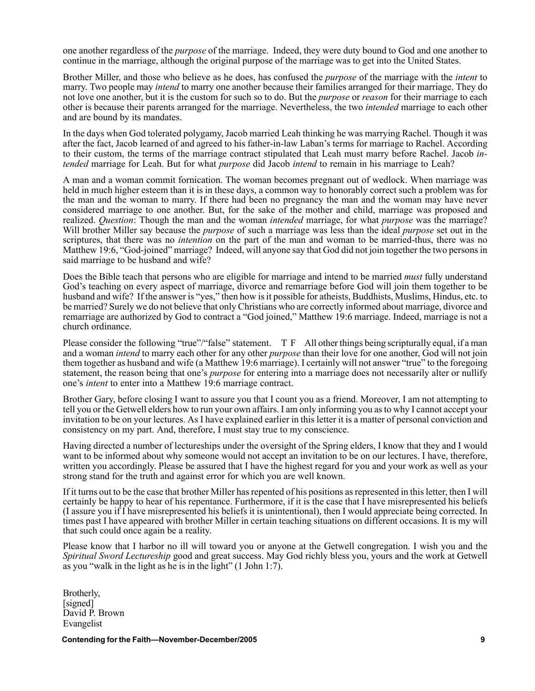one another regardless of the *purpose* of the marriage. Indeed, they were duty bound to God and one another to continue in the marriage, although the original purpose of the marriage was to get into the United States.

Brother Miller, and those who believe as he does, has confused the *purpose* of the marriage with the *intent* to marry. Two people may *intend* to marry one another because their families arranged for their marriage. They do not love one another, but it is the custom for such so to do. But the *purpose* or *reason* for their marriage to each other is because their parents arranged for the marriage. Nevertheless, the two *intended* marriage to each other and are bound by its mandates.

In the days when God tolerated polygamy, Jacob married Leah thinking he was marrying Rachel. Though it was after the fact, Jacob learned of and agreed to his father-in-law Laban's terms for marriage to Rachel. According to their custom, the terms of the marriage contract stipulated that Leah must marry before Rachel. Jacob *intended* marriage for Leah. But for what *purpose* did Jacob *intend* to remain in his marriage to Leah?

A man and a woman commit fornication. The woman becomes pregnant out of wedlock. When marriage was held in much higher esteem than it is in these days, a common way to honorably correct such a problem was for the man and the woman to marry. If there had been no pregnancy the man and the woman may have never considered marriage to one another. But, for the sake of the mother and child, marriage was proposed and realized. *Question*: Though the man and the woman *intended* marriage, for what *purpose* was the marriage? Will brother Miller say because the *purpose* of such a marriage was less than the ideal *purpose* set out in the scriptures, that there was no *intention* on the part of the man and woman to be married-thus, there was no Matthew 19:6, "God-joined" marriage? Indeed, will anyone say that God did not join together the two persons in said marriage to be husband and wife?

Does the Bible teach that persons who are eligible for marriage and intend to be married *must* fully understand God's teaching on every aspect of marriage, divorce and remarriage before God will join them together to be husband and wife? If the answer is "yes," then how is it possible for atheists, Buddhists, Muslims, Hindus, etc. to be married? Surely we do not believe that only Christians who are correctly informed about marriage, divorce and remarriage are authorized by God to contract a "God joined," Matthew 19:6 marriage. Indeed, marriage is not a church ordinance.

Please consider the following "true"/"false" statement.  $T F$  All other things being scripturally equal, if a man and a woman *intend* to marry each other for any other *purpose* than their love for one another, God will not join them together as husband and wife (a Matthew 19:6 marriage). I certainly will not answer "true" to the foregoing statement, the reason being that one's *purpose* for entering into a marriage does not necessarily alter or nullify one's *intent* to enter into a Matthew 19:6 marriage contract.

Brother Gary, before closing I want to assure you that I count you as a friend. Moreover, I am not attempting to tell you or the Getwell elders how to run your own affairs. I am only informing you as to why I cannot accept your invitation to be on your lectures. As I have explained earlier in this letter it is a matter of personal conviction and consistency on my part. And, therefore, I must stay true to my conscience.

Having directed a number of lectureships under the oversight of the Spring elders, I know that they and I would want to be informed about why someone would not accept an invitation to be on our lectures. I have, therefore, written you accordingly. Please be assured that I have the highest regard for you and your work as well as your strong stand for the truth and against error for which you are well known.

If it turns out to be the case that brother Miller has repented of his positions as represented in this letter, then I will certainly be happy to hear of his repentance. Furthermore, if it is the case that I have misrepresented his beliefs (I assure you if I have misrepresented his beliefs it is unintentional), then I would appreciate being corrected. In times past I have appeared with brother Miller in certain teaching situations on different occasions. It is my will that such could once again be a reality.

Please know that I harbor no ill will toward you or anyone at the Getwell congregation. I wish you and the *Spiritual Sword Lectureship* good and great success. May God richly bless you, yours and the work at Getwell as you "walk in the light as he is in the light"  $(1$  John 1:7).

Brotherly, [signed] David P. Brown Evangelist

**Contending for the Faith—November-December/2005 1998 1999**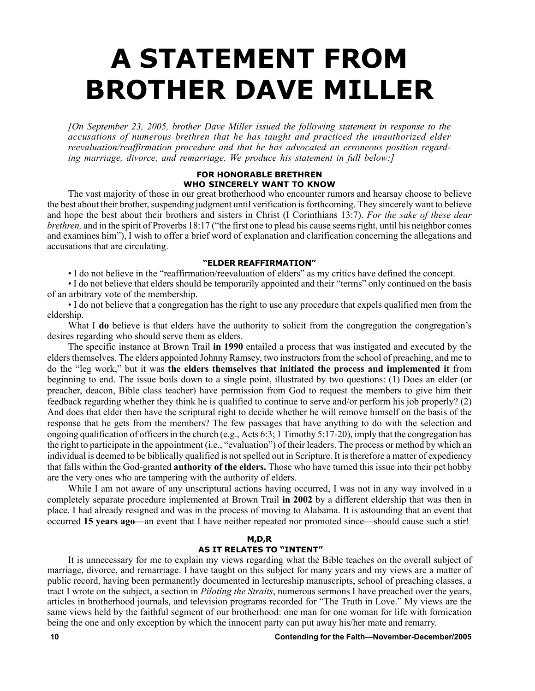# **A STATEMENT FROM BROTHER DAVE MILLER**

*[On September 23, 2005, brother Dave Miller issued the following statement in response to the accusations of numerous brethren that he has taught and practiced the unauthorized elder reevaluation/reaffirmation procedure and that he has advocated an erroneous position regarding marriage, divorce, and remarriage. We produce his statement in full below:]*

### **FOR HONORABLE BRETHREN WHO SINCERELY WANT TO KNOW**

The vast majority of those in our great brotherhood who encounter rumors and hearsay choose to believe the best about their brother, suspending judgment until verification is forthcoming. They sincerely want to believe and hope the best about their brothers and sisters in Christ (I Corinthians 13:7). *For the sake of these dear brethren*, and in the spirit of Proverbs 18:17 ("the first one to plead his cause seems right, until his neighbor comes and examines himî), I wish to offer a brief word of explanation and clarification concerning the allegations and accusations that are circulating.

### **ìELDER REAFFIRMATIONî**

• I do not believe in the "reaffirmation/reevaluation of elders" as my critics have defined the concept.

• I do not believe that elders should be temporarily appointed and their "terms" only continued on the basis of an arbitrary vote of the membership.

ï I do not believe that a congregation has the right to use any procedure that expels qualified men from the eldership.

What I **do** believe is that elders have the authority to solicit from the congregation the congregation's desires regarding who should serve them as elders.

The specific instance at Brown Trail **in 1990** entailed a process that was instigated and executed by the elders themselves. The elders appointed Johnny Ramsey, two instructors from the school of preaching, and me to do the "leg work," but it was the elders themselves that initiated the process and implemented it from beginning to end. The issue boils down to a single point, illustrated by two questions: (1) Does an elder (or preacher, deacon, Bible class teacher) have permission from God to request the members to give him their feedback regarding whether they think he is qualified to continue to serve and/or perform his job properly? (2) And does that elder then have the scriptural right to decide whether he will remove himself on the basis of the response that he gets from the members? The few passages that have anything to do with the selection and ongoing qualification of officers in the church (e.g., Acts 6:3; 1 Timothy 5:17-20), imply that the congregation has the right to participate in the appointment (i.e., "evaluation") of their leaders. The process or method by which an individual is deemed to be biblically qualified is not spelled out in Scripture. It is therefore a matter of expediency that falls within the God-granted **authority of the elders.** Those who have turned this issue into their pet hobby are the very ones who are tampering with the authority of elders.

While I am not aware of any unscriptural actions having occurred, I was not in any way involved in a completely separate procedure implemented at Brown Trail **in 2002** by a different eldership that was then in place. I had already resigned and was in the process of moving to Alabama. It is astounding that an event that occurred **15 years ago**—an event that I have neither repeated nor promoted since—should cause such a stir!

### **M,D,R**

### **AS IT RELATES TO "INTENT"**

It is unnecessary for me to explain my views regarding what the Bible teaches on the overall subject of marriage, divorce, and remarriage. I have taught on this subject for many years and my views are a matter of public record, having been permanently documented in lectureship manuscripts, school of preaching classes, a tract I wrote on the subject, a section in *Piloting the Straits*, numerous sermons I have preached over the years, articles in brotherhood journals, and television programs recorded for "The Truth in Love." My views are the same views held by the faithful segment of our brotherhood: one man for one woman for life with fornication being the one and only exception by which the innocent party can put away his/her mate and remarry.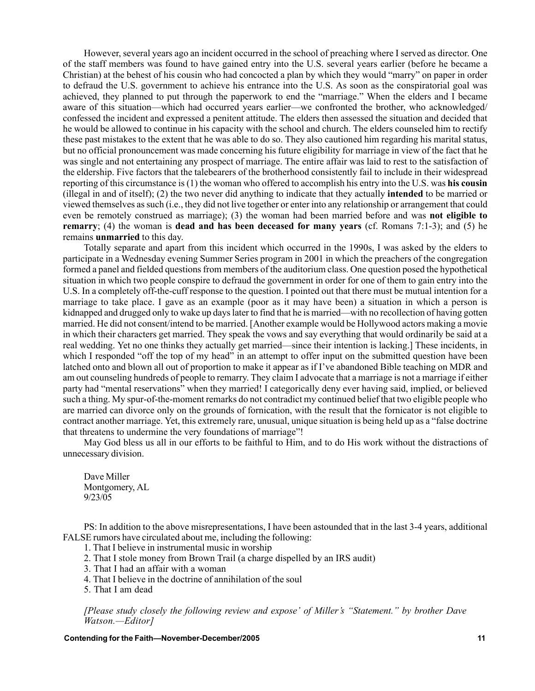However, several years ago an incident occurred in the school of preaching where I served as director. One of the staff members was found to have gained entry into the U.S. several years earlier (before he became a Christian) at the behest of his cousin who had concocted a plan by which they would "marry" on paper in order to defraud the U.S. government to achieve his entrance into the U.S. As soon as the conspiratorial goal was achieved, they planned to put through the paperwork to end the "marriage." When the elders and I became aware of this situation—which had occurred years earlier—we confronted the brother, who acknowledged/ confessed the incident and expressed a penitent attitude. The elders then assessed the situation and decided that he would be allowed to continue in his capacity with the school and church. The elders counseled him to rectify these past mistakes to the extent that he was able to do so. They also cautioned him regarding his marital status, but no official pronouncement was made concerning his future eligibility for marriage in view of the fact that he was single and not entertaining any prospect of marriage. The entire affair was laid to rest to the satisfaction of the eldership. Five factors that the talebearers of the brotherhood consistently fail to include in their widespread reporting of this circumstance is (1) the woman who offered to accomplish his entry into the U.S. was **his cousin** (illegal in and of itself); (2) the two never did anything to indicate that they actually **intended** to be married or viewed themselves as such (i.e., they did not live together or enter into any relationship or arrangement that could even be remotely construed as marriage); (3) the woman had been married before and was **not eligible to remarry**; (4) the woman is **dead and has been deceased for many years** (cf. Romans 7:1-3); and (5) he remains **unmarried** to this day.

Totally separate and apart from this incident which occurred in the 1990s, I was asked by the elders to participate in a Wednesday evening Summer Series program in 2001 in which the preachers of the congregation formed a panel and fielded questions from members of the auditorium class. One question posed the hypothetical situation in which two people conspire to defraud the government in order for one of them to gain entry into the U.S. In a completely off-the-cuff response to the question. I pointed out that there must be mutual intention for a marriage to take place. I gave as an example (poor as it may have been) a situation in which a person is kidnapped and drugged only to wake up days later to find that he is married—with no recollection of having gotten married. He did not consent/intend to be married. [Another example would be Hollywood actors making a movie in which their characters get married. They speak the vows and say everything that would ordinarily be said at a real wedding. Yet no one thinks they actually get married—since their intention is lacking.] These incidents, in which I responded "off the top of my head" in an attempt to offer input on the submitted question have been latched onto and blown all out of proportion to make it appear as if I've abandoned Bible teaching on MDR and am out counseling hundreds of people to remarry. They claim I advocate that a marriage is not a marriage if either party had "mental reservations" when they married! I categorically deny ever having said, implied, or believed such a thing. My spur-of-the-moment remarks do not contradict my continued belief that two eligible people who are married can divorce only on the grounds of fornication, with the result that the fornicator is not eligible to contract another marriage. Yet, this extremely rare, unusual, unique situation is being held up as a "false doctrine" that threatens to undermine the very foundations of marriage"!

May God bless us all in our efforts to be faithful to Him, and to do His work without the distractions of unnecessary division.

Dave Miller Montgomery, AL 9/23/05

PS: In addition to the above misrepresentations, I have been astounded that in the last 3-4 years, additional FALSE rumors have circulated about me, including the following:

- 1. That I believe in instrumental music in worship
- 2. That I stole money from Brown Trail (a charge dispelled by an IRS audit)
- 3. That I had an affair with a woman
- 4. That I believe in the doctrine of annihilation of the soul
- 5. That I am dead

*[Please study closely the following review and expose' of Miller's "Statement." by brother Dave Watson.-Editor]* 

**Contending for the Faith—November-December/2005 11 11**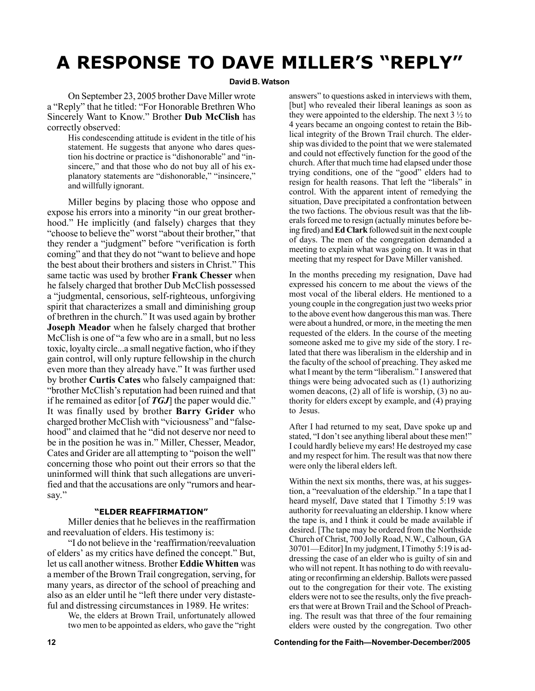### **A RESPONSE TO DAVE MILLER'S "REPLY"**

### **David B. Watson**

On September 23, 2005 brother Dave Miller wrote a "Reply" that he titled: "For Honorable Brethren Who Sincerely Want to Know.î Brother **Dub McClish** has correctly observed:

His condescending attitude is evident in the title of his statement. He suggests that anyone who dares question his doctrine or practice is "dishonorable" and "insincere," and that those who do not buy all of his explanatory statements are "dishonorable," "insincere," and willfully ignorant.

Miller begins by placing those who oppose and expose his errors into a minority "in our great brotherhood." He implicitly (and falsely) charges that they "choose to believe the" worst "about their brother," that they render a "judgment" before "verification is forth coming" and that they do not "want to believe and hope the best about their brothers and sisters in Christ." This same tactic was used by brother **Frank Chesser** when he falsely charged that brother Dub McClish possessed a "judgmental, censorious, self-righteous, unforgiving spirit that characterizes a small and diminishing group of brethren in the church." It was used again by brother **Joseph Meador** when he falsely charged that brother McClish is one of "a few who are in a small, but no less toxic, loyalty circle...a small negative faction, who if they gain control, will only rupture fellowship in the church even more than they already have." It was further used by brother **Curtis Cates** who falsely campaigned that: "brother McClish's reputation had been ruined and that if he remained as editor [of **TGJ**] the paper would die.<sup>"</sup> It was finally used by brother **Barry Grider** who charged brother McClish with "viciousness" and "falsehood" and claimed that he "did not deserve nor need to be in the position he was in." Miller, Chesser, Meador, Cates and Grider are all attempting to "poison the well" concerning those who point out their errors so that the uninformed will think that such allegations are unverified and that the accusations are only "rumors and hearsay."

### **ìELDER REAFFIRMATIONî**

Miller denies that he believes in the reaffirmation and reevaluation of elders. His testimony is:

"I do not believe in the 'reaffirmation/reevaluation of elders' as my critics have defined the concept." But, let us call another witness. Brother **Eddie Whitten** was a member of the Brown Trail congregation, serving, for many years, as director of the school of preaching and also as an elder until he "left there under very distasteful and distressing circumstances in 1989. He writes:

We, the elders at Brown Trail, unfortunately allowed two men to be appointed as elders, who gave the "right" answers" to questions asked in interviews with them, [but] who revealed their liberal leanings as soon as they were appointed to the eldership. The next  $3\frac{1}{2}$  to 4 years became an ongoing contest to retain the Biblical integrity of the Brown Trail church. The eldership was divided to the point that we were stalemated and could not effectively function for the good of the church. After that much time had elapsed under those trying conditions, one of the "good" elders had to resign for health reasons. That left the "liberals" in control. With the apparent intent of remedying the situation, Dave precipitated a confrontation between the two factions. The obvious result was that the liberals forced me to resign (actually minutes before being fired) and **Ed Clark** followed suit in the next couple of days. The men of the congregation demanded a meeting to explain what was going on. It was in that meeting that my respect for Dave Miller vanished.

In the months preceding my resignation, Dave had expressed his concern to me about the views of the most vocal of the liberal elders. He mentioned to a young couple in the congregation just two weeks prior to the above event how dangerous this man was. There were about a hundred, or more, in the meeting the men requested of the elders. In the course of the meeting someone asked me to give my side of the story. I related that there was liberalism in the eldership and in the faculty of the school of preaching. They asked me what I meant by the term "liberalism." I answered that things were being advocated such as (1) authorizing women deacons, (2) all of life is worship, (3) no authority for elders except by example, and (4) praying to Jesus.

After I had returned to my seat, Dave spoke up and stated, "I don't see anything liberal about these men!" I could hardly believe my ears! He destroyed my case and my respect for him. The result was that now there were only the liberal elders left.

Within the next six months, there was, at his suggestion, a "reevaluation of the eldership." In a tape that I heard myself, Dave stated that I Timothy 5:19 was authority for reevaluating an eldership. I know where the tape is, and I think it could be made available if desired. [The tape may be ordered from the Northside Church of Christ, 700 Jolly Road, N.W., Calhoun, GA  $30701$ —Editor] In my judgment, I Timothy 5:19 is addressing the case of an elder who is guilty of sin and who will not repent. It has nothing to do with reevaluating or reconfirming an eldership. Ballots were passed out to the congregation for their vote. The existing elders were not to see the results, only the five preachers that were at Brown Trail and the School of Preaching. The result was that three of the four remaining elders were ousted by the congregation. Two other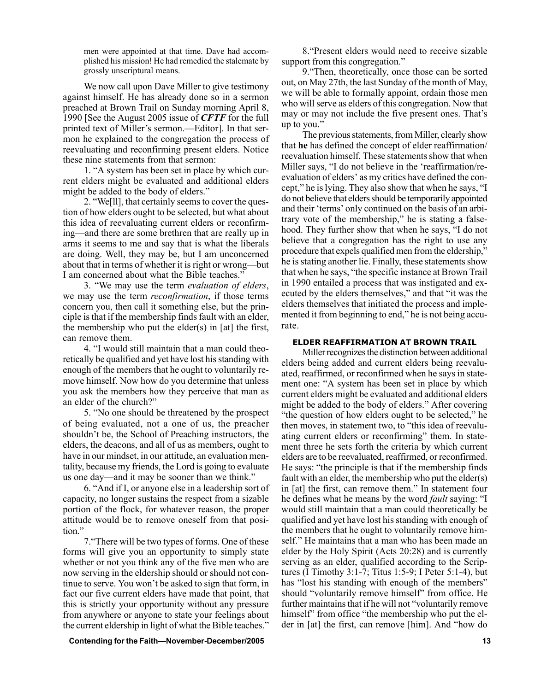men were appointed at that time. Dave had accomplished his mission! He had remedied the stalemate by grossly unscriptural means.

We now call upon Dave Miller to give testimony against himself. He has already done so in a sermon preached at Brown Trail on Sunday morning April 8, 1990 [See the August 2005 issue of *CFTF* for the full printed text of Miller's sermon.—Editor]. In that sermon he explained to the congregation the process of reevaluating and reconfirming present elders. Notice these nine statements from that sermon:

1. "A system has been set in place by which current elders might be evaluated and additional elders might be added to the body of elders."

2. "We[ll], that certainly seems to cover the question of how elders ought to be selected, but what about this idea of reevaluating current elders or reconfirming—and there are some brethren that are really up in arms it seems to me and say that is what the liberals are doing. Well, they may be, but I am unconcerned about that in terms of whether it is right or wrong—but I am concerned about what the Bible teaches."

3. "We may use the term *evaluation of elders*, we may use the term *reconfirmation*, if those terms concern you, then call it something else, but the principle is that if the membership finds fault with an elder, the membership who put the elder(s) in [at] the first, can remove them.

4. "I would still maintain that a man could theoretically be qualified and yet have lost his standing with enough of the members that he ought to voluntarily remove himself. Now how do you determine that unless you ask the members how they perceive that man as an elder of the church?"

5. "No one should be threatened by the prospect of being evaluated, not a one of us, the preacher shouldn't be, the School of Preaching instructors, the elders, the deacons, and all of us as members, ought to have in our mindset, in our attitude, an evaluation mentality, because my friends, the Lord is going to evaluate us one day—and it may be sooner than we think."

6. "And if I, or anyone else in a leadership sort of capacity, no longer sustains the respect from a sizable portion of the flock, for whatever reason, the proper attitude would be to remove oneself from that position."

7. There will be two types of forms. One of these forms will give you an opportunity to simply state whether or not you think any of the five men who are now serving in the eldership should or should not continue to serve. You won't be asked to sign that form, in fact our five current elders have made that point, that this is strictly your opportunity without any pressure from anywhere or anyone to state your feelings about the current eldership in light of what the Bible teaches.<sup>"</sup>

8. "Present elders would need to receive sizable support from this congregation."

9. Then, theoretically, once those can be sorted out, on May 27th, the last Sunday of the month of May, we will be able to formally appoint, ordain those men who will serve as elders of this congregation. Now that may or may not include the five present ones. That's up to you."

The previous statements, from Miller, clearly show that **he** has defined the concept of elder reaffirmation/ reevaluation himself. These statements show that when Miller says, "I do not believe in the 'reaffirmation/reevaluation of elders' as my critics have defined the concept," he is lying. They also show that when he says, "I do not believe that elders should be temporarily appointed and their 'terms' only continued on the basis of an arbitrary vote of the membership," he is stating a falsehood. They further show that when he says, "I do not believe that a congregation has the right to use any procedure that expels qualified men from the eldership." he is stating another lie. Finally, these statements show that when he says, "the specific instance at Brown Trail in 1990 entailed a process that was instigated and executed by the elders themselves," and that "it was the elders themselves that initiated the process and implemented it from beginning to end," he is not being accurate.

### **ELDER REAFFIRMATION AT BROWN TRAIL**

Miller recognizes the distinction between additional elders being added and current elders being reevaluated, reaffirmed, or reconfirmed when he says in statement one: "A system has been set in place by which current elders might be evaluated and additional elders might be added to the body of elders." After covering "the question of how elders ought to be selected," he then moves, in statement two, to "this idea of reevaluating current elders or reconfirming" them. In statement three he sets forth the criteria by which current elders are to be reevaluated, reaffirmed, or reconfirmed. He says: "the principle is that if the membership finds fault with an elder, the membership who put the elder(s) in [at] the first, can remove them." In statement four he defines what he means by the word *fault* saying: "I would still maintain that a man could theoretically be qualified and yet have lost his standing with enough of the members that he ought to voluntarily remove himself." He maintains that a man who has been made an elder by the Holy Spirit (Acts 20:28) and is currently serving as an elder, qualified according to the Scriptures (I Timothy 3:1-7; Titus 1:5-9; I Peter 5:1-4), but has "lost his standing with enough of the members" should "voluntarily remove himself" from office. He further maintains that if he will not "voluntarily remove" himself" from office "the membership who put the elder in [at] the first, can remove [him]. And "how do

**Contending for the Faith—November-December/2005 13** 2005 13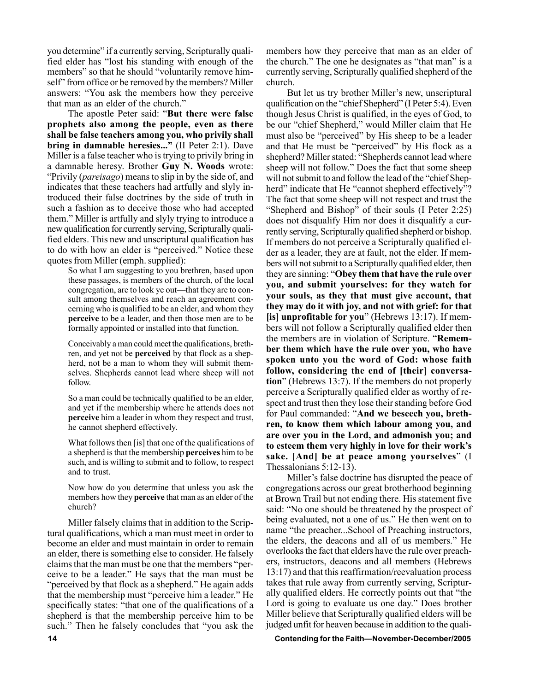you determine" if a currently serving, Scripturally qualified elder has "lost his standing with enough of the members" so that he should "voluntarily remove himself" from office or be removed by the members? Miller answers: "You ask the members how they perceive that man as an elder of the church.<sup>"</sup>

The apostle Peter said: "But there were false **prophets also among the people, even as there shall be false teachers among you, who privily shall bring in damnable heresies...**" (II Peter 2:1). Dave Miller is a false teacher who is trying to privily bring in a damnable heresy. Brother **Guy N. Woods** wrote: ìPrivily (*pareisago*) means to slip in by the side of, and indicates that these teachers had artfully and slyly introduced their false doctrines by the side of truth in such a fashion as to deceive those who had accepted them." Miller is artfully and slyly trying to introduce a new qualification for currently serving, Scripturally qualified elders. This new and unscriptural qualification has to do with how an elder is "perceived." Notice these quotes from Miller (emph. supplied):

So what I am suggesting to you brethren, based upon these passages, is members of the church, of the local congregation, are to look ye out—that they are to consult among themselves and reach an agreement concerning who is qualified to be an elder, and whom they **perceive** to be a leader, and then those men are to be formally appointed or installed into that function.

Conceivably a man could meet the qualifications, brethren, and yet not be **perceived** by that flock as a shepherd, not be a man to whom they will submit themselves. Shepherds cannot lead where sheep will not follow.

So a man could be technically qualified to be an elder, and yet if the membership where he attends does not **perceive** him a leader in whom they respect and trust, he cannot shepherd effectively.

What follows then [is] that one of the qualifications of a shepherd is that the membership **perceives** him to be such, and is willing to submit and to follow, to respect and to trust.

Now how do you determine that unless you ask the members how they **perceive** that man as an elder of the church?

Miller falsely claims that in addition to the Scriptural qualifications, which a man must meet in order to become an elder and must maintain in order to remain an elder, there is something else to consider. He falsely claims that the man must be one that the members "perceive to be a leader." He says that the man must be "perceived by that flock as a shepherd." He again adds that the membership must "perceive him a leader." He specifically states: "that one of the qualifications of a shepherd is that the membership perceive him to be such." Then he falsely concludes that "you ask the members how they perceive that man as an elder of the church." The one he designates as "that man" is a currently serving, Scripturally qualified shepherd of the church.

But let us try brother Miller's new, unscriptural qualification on the "chief Shepherd" (I Peter 5:4). Even though Jesus Christ is qualified, in the eyes of God, to be our "chief Shepherd," would Miller claim that He must also be "perceived" by His sheep to be a leader and that He must be "perceived" by His flock as a shepherd? Miller stated: "Shepherds cannot lead where sheep will not follow." Does the fact that some sheep will not submit to and follow the lead of the "chief Shepherd" indicate that He "cannot shepherd effectively"? The fact that some sheep will not respect and trust the "Shepherd and Bishop" of their souls  $(I$  Peter 2:25) does not disqualify Him nor does it disqualify a currently serving, Scripturally qualified shepherd or bishop. If members do not perceive a Scripturally qualified elder as a leader, they are at fault, not the elder. If members will not submit to a Scripturally qualified elder, then they are sinning: "Obey them that have the rule over **you, and submit yourselves: for they watch for your souls, as they that must give account, that they may do it with joy, and not with grief: for that [is] unprofitable for you**î (Hebrews 13:17). If members will not follow a Scripturally qualified elder then the members are in violation of Scripture. "**Remember them which have the rule over you, who have spoken unto you the word of God: whose faith follow, considering the end of [their] conversation**î (Hebrews 13:7). If the members do not properly perceive a Scripturally qualified elder as worthy of respect and trust then they lose their standing before God for Paul commanded: "And we beseech you, breth**ren, to know them which labour among you, and are over you in the Lord, and admonish you; and** to esteem them very highly in love for their work's sake. [And] be at peace among yourselves" (I Thessalonians 5:12-13).

Miller's false doctrine has disrupted the peace of congregations across our great brotherhood beginning at Brown Trail but not ending there. His statement five said: "No one should be threatened by the prospect of being evaluated, not a one of us." He then went on to name "the preacher...School of Preaching instructors, the elders, the deacons and all of us members." He overlooks the fact that elders have the rule over preachers, instructors, deacons and all members (Hebrews 13:17) and that this reaffirmation/reevaluation process takes that rule away from currently serving, Scripturally qualified elders. He correctly points out that "the Lord is going to evaluate us one day." Does brother Miller believe that Scripturally qualified elders will be judged unfit for heaven because in addition to the quali-

14 **14** Contending for the Faith—November-December/2005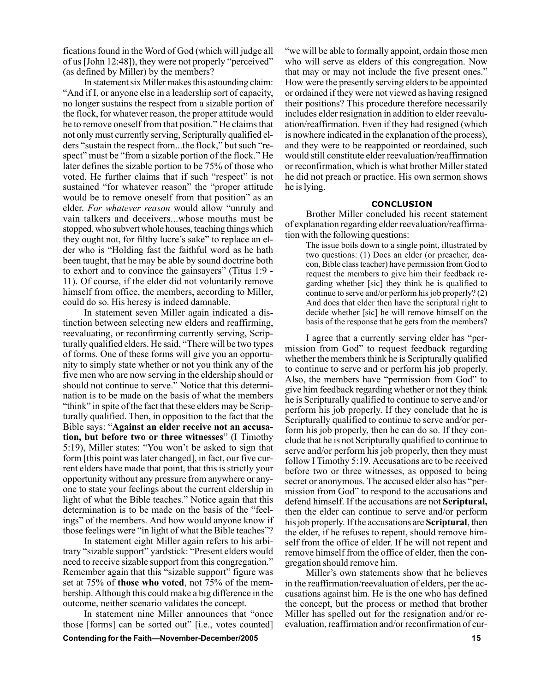fications found in the Word of God (which will judge all of us  $[John 12:48]$ , they were not properly "perceived" (as defined by Miller) by the members?

In statement six Miller makes this astounding claim: "And if I, or anyone else in a leadership sort of capacity, no longer sustains the respect from a sizable portion of the flock, for whatever reason, the proper attitude would be to remove oneself from that position." He claims that not only must currently serving, Scripturally qualified elders "sustain the respect from...the flock," but such "respect" must be "from a sizable portion of the flock." He later defines the sizable portion to be 75% of those who voted. He further claims that if such "respect" is not sustained "for whatever reason" the "proper attitude would be to remove oneself from that position" as an elder. For whatever reason would allow "unruly and vain talkers and deceivers...whose mouths must be stopped, who subvert whole houses, teaching things which they ought not, for filthy lucre's sake" to replace an elder who is "Holding fast the faithful word as he hath been taught, that he may be able by sound doctrine both to exhort and to convince the gainsayers" (Titus  $1:9$  -11). Of course, if the elder did not voluntarily remove himself from office, the members, according to Miller, could do so. His heresy is indeed damnable.

In statement seven Miller again indicated a distinction between selecting new elders and reaffirming, reevaluating, or reconfirming currently serving, Scripturally qualified elders. He said, "There will be two types of forms. One of these forms will give you an opportunity to simply state whether or not you think any of the five men who are now serving in the eldership should or should not continue to serve." Notice that this determination is to be made on the basis of what the members "think" in spite of the fact that these elders may be Scripturally qualified. Then, in opposition to the fact that the Bible says: "Against an elder receive not an accusa**tion, but before two or three witnesses**" (I Timothy 5:19), Miller states: "You won't be asked to sign that form [this point was later changed], in fact, our five current elders have made that point, that this is strictly your opportunity without any pressure from anywhere or anyone to state your feelings about the current eldership in light of what the Bible teaches." Notice again that this determination is to be made on the basis of the "feelings" of the members. And how would anyone know if those feelings were "in light of what the Bible teaches"?

In statement eight Miller again refers to his arbitrary "sizable support" yardstick: "Present elders would need to receive sizable support from this congregation." Remember again that this "sizable support" figure was set at 75% of **those who voted**, not 75% of the membership. Although this could make a big difference in the outcome, neither scenario validates the concept.

In statement nine Miller announces that "once those [forms] can be sorted out" [i.e., votes counted]

we will be able to formally appoint, ordain those men who will serve as elders of this congregation. Now that may or may not include the five present ones." How were the presently serving elders to be appointed or ordained if they were not viewed as having resigned their positions? This procedure therefore necessarily includes elder resignation in addition to elder reevaluation/reaffirmation. Even if they had resigned (which is nowhere indicated in the explanation of the process), and they were to be reappointed or reordained, such would still constitute elder reevaluation/reaffirmation or reconfirmation, which is what brother Miller stated he did not preach or practice. His own sermon shows he is lying.

### **CONCLUSION**

Brother Miller concluded his recent statement of explanation regarding elder reevaluation/reaffirmation with the following questions:

The issue boils down to a single point, illustrated by two questions: (1) Does an elder (or preacher, deacon, Bible class teacher) have permission from God to request the members to give him their feedback regarding whether [sic] they think he is qualified to continue to serve and/or perform his job properly? (2) And does that elder then have the scriptural right to decide whether [sic] he will remove himself on the basis of the response that he gets from the members?

I agree that a currently serving elder has "permission from God" to request feedback regarding whether the members think he is Scripturally qualified to continue to serve and or perform his job properly. Also, the members have "permission from God" to give him feedback regarding whether or not they think he is Scripturally qualified to continue to serve and/or perform his job properly. If they conclude that he is Scripturally qualified to continue to serve and/or perform his job properly, then he can do so. If they conclude that he is not Scripturally qualified to continue to serve and/or perform his job properly, then they must follow I Timothy 5:19. Accusations are to be received before two or three witnesses, as opposed to being secret or anonymous. The accused elder also has "permission from God" to respond to the accusations and defend himself. If the accusations are not **Scriptural,** then the elder can continue to serve and/or perform his job properly. If the accusations are **Scriptural**, then the elder, if he refuses to repent, should remove himself from the office of elder. If he will not repent and remove himself from the office of elder, then the congregation should remove him.

Miller's own statements show that he believes in the reaffirmation/reevaluation of elders, per the accusations against him. He is the one who has defined the concept, but the process or method that brother Miller has spelled out for the resignation and/or reevaluation, reaffirmation and/or reconfirmation of cur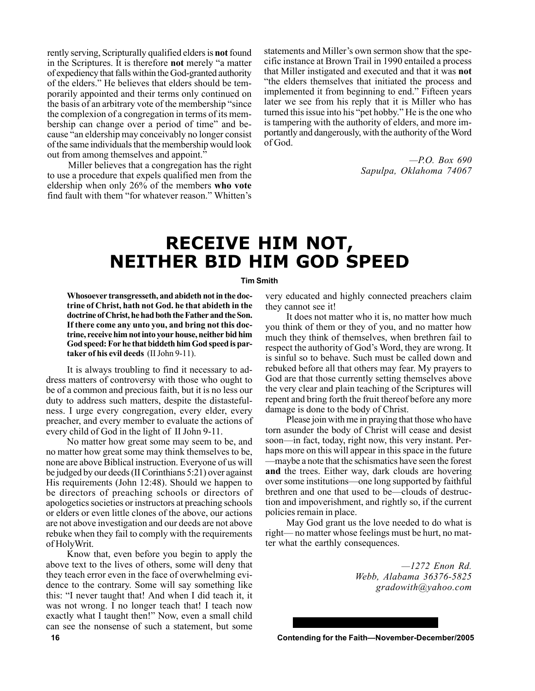rently serving, Scripturally qualified elders is **not** found in the Scriptures. It is therefore **not** merely "a matter of expediency that falls within the God-granted authority of the elders." He believes that elders should be temporarily appointed and their terms only continued on the basis of an arbitrary vote of the membership "since" the complexion of a congregation in terms of its membership can change over a period of time" and because "an eldership may conceivably no longer consist of the same individuals that the membership would look out from among themselves and appoint.<sup>7</sup>

Miller believes that a congregation has the right to use a procedure that expels qualified men from the eldership when only 26% of the members **who vote** find fault with them "for whatever reason." Whitten's statements and Miller's own sermon show that the specific instance at Brown Trail in 1990 entailed a process that Miller instigated and executed and that it was **not** "the elders themselves that initiated the process and implemented it from beginning to end." Fifteen years later we see from his reply that it is Miller who has turned this issue into his "pet hobby." He is the one who is tampering with the authority of elders, and more importantly and dangerously, with the authority of the Word of God.

> *óP.O. Box 690 Sapulpa, Oklahoma 74067*

### **RECEIVE HIM NOT, NEITHER BID HIM GOD SPEED**

### **Tim Smith**

**Whosoever transgresseth, and abideth not in the doctrine of Christ, hath not God. he that abideth in the doctrine of Christ, he had both the Father and the Son. If there come any unto you, and bring not this doctrine, receive him not into your house, neither bid him God speed: For he that biddeth him God speed is partaker of his evil deeds** (II John 9-11).

It is always troubling to find it necessary to address matters of controversy with those who ought to be of a common and precious faith, but it is no less our duty to address such matters, despite the distastefulness. I urge every congregation, every elder, every preacher, and every member to evaluate the actions of every child of God in the light of II John 9-11.

No matter how great some may seem to be, and no matter how great some may think themselves to be, none are above Biblical instruction. Everyone of us will be judged by our deeds (II Corinthians 5:21) over against His requirements (John 12:48). Should we happen to be directors of preaching schools or directors of apologetics societies or instructors at preaching schools or elders or even little clones of the above, our actions are not above investigation and our deeds are not above rebuke when they fail to comply with the requirements of HolyWrit.

Know that, even before you begin to apply the above text to the lives of others, some will deny that they teach error even in the face of overwhelming evidence to the contrary. Some will say something like this: "I never taught that! And when I did teach it, it was not wrong. I no longer teach that! I teach now exactly what I taught then!" Now, even a small child can see the nonsense of such a statement, but some

very educated and highly connected preachers claim they cannot see it!

It does not matter who it is, no matter how much you think of them or they of you, and no matter how much they think of themselves, when brethren fail to respect the authority of God's Word, they are wrong. It is sinful so to behave. Such must be called down and rebuked before all that others may fear. My prayers to God are that those currently setting themselves above the very clear and plain teaching of the Scriptures will repent and bring forth the fruit thereof before any more damage is done to the body of Christ.

Please join with me in praying that those who have torn asunder the body of Christ will cease and desist soon—in fact, today, right now, this very instant. Perhaps more on this will appear in this space in the future —maybe a note that the schismatics have seen the forest **and** the trees. Either way, dark clouds are hovering over some institutions—one long supported by faithful brethren and one that used to be—clouds of destruction and impoverishment, and rightly so, if the current policies remain in place.

May God grant us the love needed to do what is right— no matter whose feelings must be hurt, no matter what the earthly consequences.

> *ó1272 Enon Rd. Webb, Alabama 36376-5825 gradowith@yahoo.com*

**16 Contending for the Faith—November-December/2005**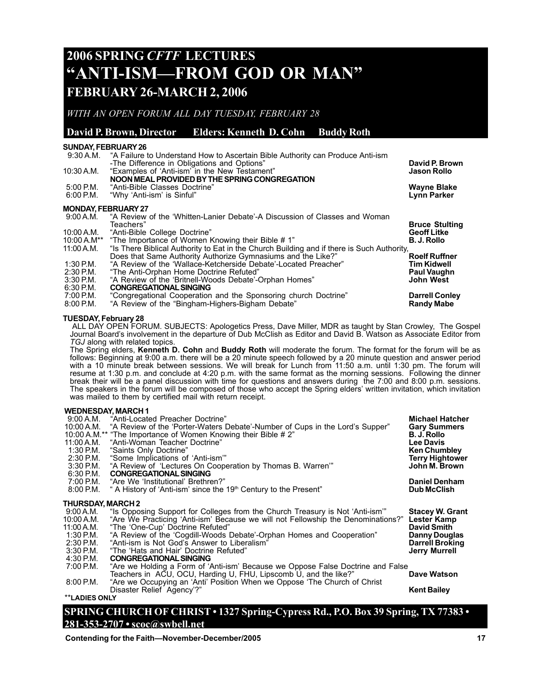### **2006 SPRING** *CFTF* **LECTURES "ANTI-ISM—FROM GOD OR MAN" FEBRUARY 26-MARCH 2, 2006**

*WITH AN OPEN FORUM ALL DAY TUESDAY, FEBRUARY 28*

### **David P. Brown, Director Elders: Kenneth D. Cohn Buddy Roth**

### **SUNDAY, FEBRUARY 26**

| 9:30 A.M.                  | "A Failure to Understand How to Ascertain Bible Authority can Produce Anti-ism<br>-The Difference in Obligations and Options" | David P. Brown                    |
|----------------------------|-------------------------------------------------------------------------------------------------------------------------------|-----------------------------------|
| 10:30 A.M.                 | "Examples of 'Anti-ism' in the New Testament"                                                                                 | <b>Jason Rollo</b>                |
|                            | NOON MEAL PROVIDED BY THE SPRING CONGREGATION                                                                                 |                                   |
| $5:00$ P.M.<br>$6:00$ P.M. | "Anti-Bible Classes Doctrine"<br>"Why 'Anti-ism' is Sinful"                                                                   | <b>Wayne Blake</b><br>Lynn Parker |
|                            |                                                                                                                               |                                   |
| <b>MONDAY, FEBRUARY 27</b> |                                                                                                                               |                                   |
| 9:00 A.M.                  | "A Review of the 'Whitten-Lanier Debate'-A Discussion of Classes and Woman                                                    |                                   |
|                            | Teachers"                                                                                                                     | <b>Bruce Stulting</b>             |
| 10:00 A.M.                 | "Anti-Bible College Doctrine"                                                                                                 | <b>Geoff Litke</b>                |
|                            | 10:00 A.M** "The Importance of Women Knowing their Bible #1"                                                                  | <b>B. J. Rollo</b>                |
| 11:00 A.M.                 | "Is There Biblical Authority to Eat in the Church Building and if there is Such Authority,                                    |                                   |
|                            | Does that Same Authority Authorize Gymnasiums and the Like?"                                                                  | <b>Roelf Ruffner</b>              |
| 1:30 P.M.                  | "A Review of the 'Wallace-Ketcherside Debate'-Located Preacher"                                                               | Tim Kidwell                       |
| $2:30$ P.M.                | "The Anti-Orphan Home Doctrine Refuted"                                                                                       | <b>Paul Vaughn</b>                |
| $3:30$ P.M.                | "A Review of the 'Britnell-Woods Debate'-Orphan Homes"                                                                        | <b>John West</b>                  |
| 6:30 P.M.                  | <b>CONGREGATIONAL SINGING</b>                                                                                                 |                                   |
| 7:00 P.M.                  | "Congregational Cooperation and the Sponsoring church Doctrine"                                                               | <b>Darrell Conley</b>             |
| 0.0001                     |                                                                                                                               |                                   |

8:00 P.M. "A Review of the "Bingham-Highers-Bigham Debate" **Randy Mabe** 

### **TUESDAY, February 28**

 ALL DAY OPEN FORUM. SUBJECTS: Apologetics Press, Dave Miller, MDR as taught by Stan Crowley, The Gospel Journal Boardís involvement in the departure of Dub McClish as Editor and David B. Watson as Associate Editor from *TGJ* along with related topics.

The Spring elders, **Kenneth D. Cohn** and **Buddy Roth** will moderate the forum. The format for the forum will be as follows: Beginning at 9:00 a.m. there will be a 20 minute speech followed by a 20 minute question and answer period with a 10 minute break between sessions. We will break for Lunch from 11:50 a.m. until 1:30 pm. The forum will resume at 1:30 p.m. and conclude at 4:20 p.m. with the same format as the morning sessions. Following the dinner break their will be a panel discussion with time for questions and answers during the 7:00 and 8:00 p.m. sessions. The speakers in the forum will be composed of those who accept the Spring elders' written invitation, which invitation was mailed to them by certified mail with return receipt.

### **WEDNESDAY, MARCH 1**

| 9:00 A.M.<br>10:00 A.M.<br>11:00 A.M.<br>1:30 P.M.<br>$2:30$ P.M.<br>$3:30$ P.M.<br>6:30 P.M.<br>7:00 P.M. | "Anti-Located Preacher Doctrine"<br>"A Review of the 'Porter-Waters Debate'-Number of Cups in the Lord's Supper"<br>10:00 A.M.** "The Importance of Women Knowing their Bible # 2"<br>"Anti-Woman Teacher Doctrine"<br>"Saints Only Doctrine"<br>"Some Implications of 'Anti-ism"<br>"A Review of 'Lectures On Cooperation by Thomas B. Warren"<br><b>CONGREGATIONAL SINGING</b><br>"Are We 'Institutional' Brethren?" | Michael Hatcher<br><b>Gary Summers</b><br><b>B. J. Rollo</b><br><b>Lee Davis</b><br>Ken Chumbley<br><b>Terry Hightower</b><br>John M. Brown<br><b>Daniel Denham</b> |
|------------------------------------------------------------------------------------------------------------|------------------------------------------------------------------------------------------------------------------------------------------------------------------------------------------------------------------------------------------------------------------------------------------------------------------------------------------------------------------------------------------------------------------------|---------------------------------------------------------------------------------------------------------------------------------------------------------------------|
| 8:00 P.M.                                                                                                  | " A History of 'Anti-ism' since the 19 <sup>th</sup> Century to the Present"                                                                                                                                                                                                                                                                                                                                           | <b>Dub McClish</b>                                                                                                                                                  |
| <b>THURSDAY, MARCH 2</b>                                                                                   |                                                                                                                                                                                                                                                                                                                                                                                                                        |                                                                                                                                                                     |
| 9:00 A.M.                                                                                                  | "Is Opposing Support for Colleges from the Church Treasury is Not 'Anti-ism"                                                                                                                                                                                                                                                                                                                                           | <b>Stacey W. Grant</b>                                                                                                                                              |
| 10:00 A.M.                                                                                                 | "Are We Practicing 'Anti-ism' Because we will not Fellowship the Denominations?"                                                                                                                                                                                                                                                                                                                                       | Lester Kamp                                                                                                                                                         |
| 11:00 A.M.                                                                                                 | "The 'One-Cup' Doctrine Refuted"                                                                                                                                                                                                                                                                                                                                                                                       | <b>David Smith</b>                                                                                                                                                  |
| 1:30 P.M.                                                                                                  | "A Review of the 'Cogdill-Woods Debate'-Orphan Homes and Cooperation"                                                                                                                                                                                                                                                                                                                                                  | <b>Danny Douglas</b>                                                                                                                                                |
| 2:30 P.M.                                                                                                  | "Anti-ism is Not God's Answer to Liberalism"                                                                                                                                                                                                                                                                                                                                                                           | <b>Darrell Broking</b>                                                                                                                                              |
| $3:30$ P.M.                                                                                                | "The 'Hats and Hair' Doctrine Refuted"                                                                                                                                                                                                                                                                                                                                                                                 | <b>Jerry Murrell</b>                                                                                                                                                |
| 4:30 P.M.                                                                                                  | <b>CONGREGATIONAL SINGING</b>                                                                                                                                                                                                                                                                                                                                                                                          |                                                                                                                                                                     |
| 7:00 P.M.                                                                                                  | "Are we Holding a Form of 'Anti-ism' Because we Oppose False Doctrine and False                                                                                                                                                                                                                                                                                                                                        |                                                                                                                                                                     |
|                                                                                                            | Teachers in ACU, OCU, Harding U, FHU, Lipscomb U, and the like?"                                                                                                                                                                                                                                                                                                                                                       | Dave Watson                                                                                                                                                         |
| $8:00$ P.M.                                                                                                | "Are we Occupying an 'Anti' Position When we Oppose 'The Church of Christ                                                                                                                                                                                                                                                                                                                                              |                                                                                                                                                                     |
|                                                                                                            | Disaster Relief Agency'?"                                                                                                                                                                                                                                                                                                                                                                                              | Kent Bailey                                                                                                                                                         |
| <b>**LADIES ONLY</b>                                                                                       |                                                                                                                                                                                                                                                                                                                                                                                                                        |                                                                                                                                                                     |
|                                                                                                            | $\alpha$ produce $\alpha$ in $\alpha$ is $\alpha$ in $\alpha$ in $\alpha$ in $\alpha$<br>$\lambda$ $\lambda$ $\lambda$ $\lambda$<br>J<br>$\sim$ $\sim$<br>$\sim$ $\sim$                                                                                                                                                                                                                                                | $\overline{a}$                                                                                                                                                      |

### **SPRING CHURCH OF CHRIST · 1327 Spring-Cypress Rd., P.O. Box 39 Spring, TX 77383 · 281-353-2707 ï scoc@swbell.net**

**Contending for the Faith—November-December/2005 17** 17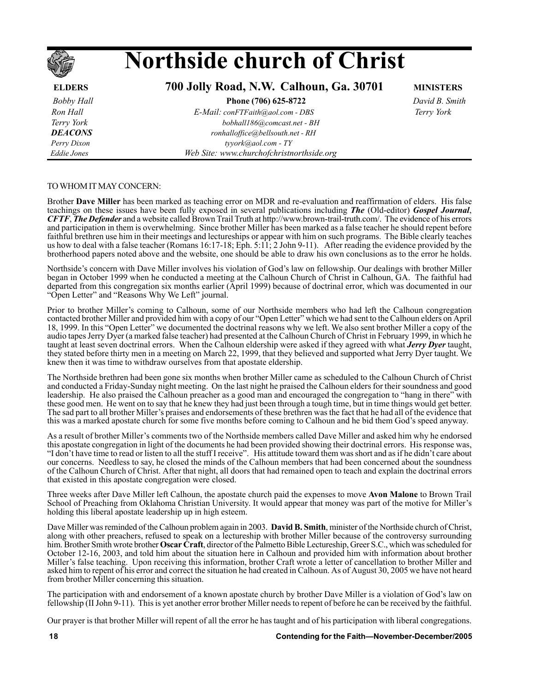# **Northside church of Christ**

**ELDERS****700 Jolly Road, N.W. Calhoun, Ga. 30701****MINISTERS**

 *Bobby Hall* **Phone (706) 625-8722** *David B. Smith*

 *Ron Hall E-Mail: conFTFaith@aol.com - DBS Terry York Terry York bobhall186@comcast.net - BH DEACONS ronhalloffice@bellsouth.net - RH Perry Dixon tyyork@aol.com - TY Eddie Jones Web Site: www.churchofchristnorthside.org*

TO WHOM IT MAY CONCERN:

Brother **Dave Miller** has been marked as teaching error on MDR and re-evaluation and reaffirmation of elders. His false teachings on these issues have been fully exposed in several publications including *The* (Old-editor) *Gospel Journal*, *CFTF*, *The Defender* and a website called Brown Trail Truth at http://www.brown-trail-truth.com/. T and participation in them is overwhelming. Since brother Miller has been marked as a false teacher he should repent before faithful brethren use him in their meetings and lectureships or appear with him on such programs. The Bible clearly teaches us how to deal with a false teacher (Romans 16:17-18; Eph. 5:11; 2 John 9-11). After reading the evidence provided by the brotherhood papers noted above and the website, one should be able to draw his own conclusions as to the error he holds.

Northside's concern with Dave Miller involves his violation of God's law on fellowship. Our dealings with brother Miller began in October 1999 when he conducted a meeting at the Calhoun Church of Christ in Calhoun, GA. The faithful had departed from this congregation six months earlier (April 1999) because of doctrinal error, which was documented in our "Open Letter" and "Reasons Why We Left" journal.

Prior to brother Miller's coming to Calhoun, some of our Northside members who had left the Calhoun congregation contacted brother Miller and provided him with a copy of our "Open Letter" which we had sent to the Calhoun elders on April 18, 1999. In this "Open Letter" we documented the doctrinal reasons why we left. We also sent brother Miller a copy of the audio tapes Jerry Dyer (a marked false teacher) had presented at the Calhoun Church of Christ in February 1999, in which he taught at least seven doctrinal errors. When the Calhoun eldership were asked if they agreed with what *Jerry Dyer* taught, they stated before thirty men in a meeting on March 22, 1999, that they believed and supported what Jerry Dyer taught. We knew then it was time to withdraw ourselves from that apostate eldership.

The Northside brethren had been gone six months when brother Miller came as scheduled to the Calhoun Church of Christ and conducted a Friday-Sunday night meeting. On the last night he praised the Calhoun elders for their soundness and good leadership. He also praised the Calhoun preacher as a good man and encouraged the congregation to "hang in there" with these good men. He went on to say that he knew they had just been through a tough time, but in time things would get better. The sad part to all brother Miller's praises and endorsements of these brethren was the fact that he had all of the evidence that this was a marked apostate church for some five months before coming to Calhoun and he bid them Godís speed anyway.

As a result of brother Miller's comments two of the Northside members called Dave Miller and asked him why he endorsed this apostate congregation in light of the documents he had been provided showing their doctrinal errors. His response was, ìI donít have time to read or listen to all the stuff I receiveî. His attitude toward them was short and as if he didnít care about our concerns. Needless to say, he closed the minds of the Calhoun members that had been concerned about the soundness of the Calhoun Church of Christ. After that night, all doors that had remained open to teach and explain the doctrinal errors that existed in this apostate congregation were closed.

Three weeks after Dave Miller left Calhoun, the apostate church paid the expenses to move **Avon Malone** to Brown Trail School of Preaching from Oklahoma Christian University. It would appear that money was part of the motive for Miller's holding this liberal apostate leadership up in high esteem.

Dave Miller was reminded of the Calhoun problem again in 2003. **David B. Smith**, minister of the Northside church of Christ, along with other preachers, refused to speak on a lectureship with brother Miller because of the controversy surrounding him. Brother Smith wrote brother **Oscar Craft**, director of the Palmetto Bible Lectureship, Greer S.C., which was scheduled for October 12-16, 2003, and told him about the situation here in Calhoun and provided him with information about brother Miller's false teaching. Upon receiving this information, brother Craft wrote a letter of cancellation to brother Miller and asked him to repent of his error and correct the situation he had created in Calhoun. As of August 30, 2005 we have not heard from brother Miller concerning this situation.

The participation with and endorsement of a known apostate church by brother Dave Miller is a violation of Godís law on fellowship (II John 9-11). This is yet another error brother Miller needs to repent of before he can be received by the faithful.

Our prayer is that brother Miller will repent of all the error he has taught and of his participation with liberal congregations.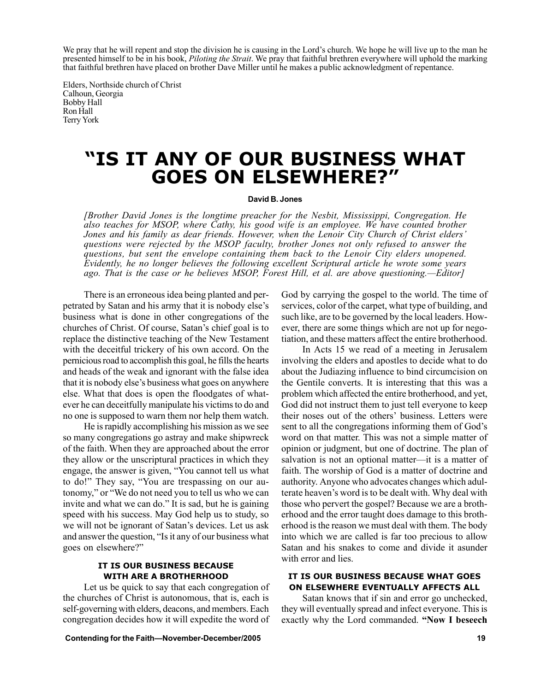We pray that he will repent and stop the division he is causing in the Lord's church. We hope he will live up to the man he presented himself to be in his book, *Piloting the Strait*. We pray that faithful brethren everywhere will uphold the marking that faithful brethren have placed on brother Dave Miller until he makes a public acknowledgment of repentance.

Elders, Northside church of Christ Calhoun, Georgia Bobby Hall Ron Hall Terry York

### **"IS IT ANY OF OUR BUSINESS WHAT GOES ON ELSEWHERE?î**

### **David B. Jones**

*[Brother David Jones is the longtime preacher for the Nesbit, Mississippi, Congregation. He also teaches for MSOP, where Cathy, his good wife is an employee. We have counted brother Jones and his family as dear friends. However, when the Lenoir City Church of Christ eldersí questions were rejected by the MSOP faculty, brother Jones not only refused to answer the questions, but sent the envelope containing them back to the Lenoir City elders unopened. Evidently, he no longer believes the following excellent Scriptural article he wrote some years* ago. That is the case or he believes MSOP, Forest Hill, et al. are above questioning.—Editor]

There is an erroneous idea being planted and perpetrated by Satan and his army that it is nobody else's business what is done in other congregations of the churches of Christ. Of course, Satan's chief goal is to replace the distinctive teaching of the New Testament with the deceitful trickery of his own accord. On the pernicious road to accomplish this goal, he fills the hearts and heads of the weak and ignorant with the false idea that it is nobody else's business what goes on anywhere else. What that does is open the floodgates of whatever he can deceitfully manipulate his victims to do and no one is supposed to warn them nor help them watch.

He is rapidly accomplishing his mission as we see so many congregations go astray and make shipwreck of the faith. When they are approached about the error they allow or the unscriptural practices in which they engage, the answer is given, "You cannot tell us what to do!" They say, "You are trespassing on our autonomy," or "We do not need you to tell us who we can invite and what we can do." It is sad, but he is gaining speed with his success. May God help us to study, so we will not be ignorant of Satan's devices. Let us ask and answer the question, "Is it any of our business what goes on elsewhere?"

### **IT IS OUR BUSINESS BECAUSE WITH ARE A BROTHERHOOD**

Let us be quick to say that each congregation of the churches of Christ is autonomous, that is, each is self-governing with elders, deacons, and members. Each congregation decides how it will expedite the word of God by carrying the gospel to the world. The time of services, color of the carpet, what type of building, and such like, are to be governed by the local leaders. However, there are some things which are not up for negotiation, and these matters affect the entire brotherhood.

In Acts 15 we read of a meeting in Jerusalem involving the elders and apostles to decide what to do about the Judiazing influence to bind circumcision on the Gentile converts. It is interesting that this was a problem which affected the entire brotherhood, and yet, God did not instruct them to just tell everyone to keep their noses out of the others' business. Letters were sent to all the congregations informing them of God's word on that matter. This was not a simple matter of opinion or judgment, but one of doctrine. The plan of salvation is not an optional matter—it is a matter of faith. The worship of God is a matter of doctrine and authority. Anyone who advocates changes which adulterate heaven's word is to be dealt with. Why deal with those who pervert the gospel? Because we are a brotherhood and the error taught does damage to this brotherhood is the reason we must deal with them. The body into which we are called is far too precious to allow Satan and his snakes to come and divide it asunder with error and lies.

### **IT IS OUR BUSINESS BECAUSE WHAT GOES ON ELSEWHERE EVENTUALLY AFFECTS ALL**

Satan knows that if sin and error go unchecked, they will eventually spread and infect everyone. This is exactly why the Lord commanded. "Now I beseech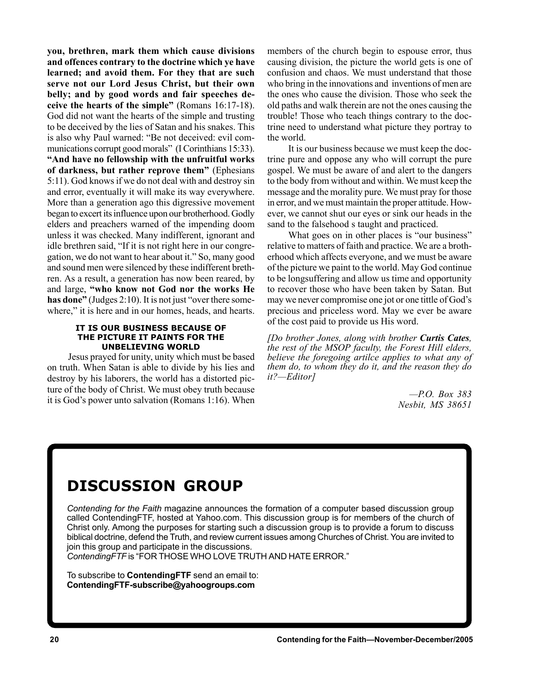**you, brethren, mark them which cause divisions and offences contrary to the doctrine which ye have learned; and avoid them. For they that are such serve not our Lord Jesus Christ, but their own belly; and by good words and fair speeches deceive the hearts of the simpleî** (Romans 16:17-18). God did not want the hearts of the simple and trusting to be deceived by the lies of Satan and his snakes. This is also why Paul warned: "Be not deceived: evil communications corrupt good morals" (I Corinthians 15:33). **ìAnd have no fellowship with the unfruitful works** of darkness, but rather reprove them<sup>?</sup> (Ephesians 5:11). God knows if we do not deal with and destroy sin and error, eventually it will make its way everywhere. More than a generation ago this digressive movement began to excert its influence upon our brotherhood. Godly elders and preachers warned of the impending doom unless it was checked. Many indifferent, ignorant and idle brethren said, "If it is not right here in our congregation, we do not want to hear about it.î So, many good and sound men were silenced by these indifferent brethren. As a result, a generation has now been reared, by and large, "who know not God nor the works He has done" (Judges 2:10). It is not just "over there somewhere," it is here and in our homes, heads, and hearts.

### **IT IS OUR BUSINESS BECAUSE OF THE PICTURE IT PAINTS FOR THE UNBELIEVING WORLD**

Jesus prayed for unity, unity which must be based on truth. When Satan is able to divide by his lies and destroy by his laborers, the world has a distorted picture of the body of Christ. We must obey truth because it is God's power unto salvation (Romans  $1:16$ ). When members of the church begin to espouse error, thus causing division, the picture the world gets is one of confusion and chaos. We must understand that those who bring in the innovations and inventions of men are the ones who cause the division. Those who seek the old paths and walk therein are not the ones causing the trouble! Those who teach things contrary to the doctrine need to understand what picture they portray to the world.

It is our business because we must keep the doctrine pure and oppose any who will corrupt the pure gospel. We must be aware of and alert to the dangers to the body from without and within. We must keep the message and the morality pure. We must pray for those in error, and we must maintain the proper attitude. However, we cannot shut our eyes or sink our heads in the sand to the falsehood s taught and practiced.

What goes on in other places is "our business" relative to matters of faith and practice. We are a brotherhood which affects everyone, and we must be aware of the picture we paint to the world. May God continue to be longsuffering and allow us time and opportunity to recover those who have been taken by Satan. But may we never compromise one jot or one tittle of God's precious and priceless word. May we ever be aware of the cost paid to provide us His word.

*[Do brother Jones, along with brother Curtis Cates, the rest of the MSOP faculty, the Forest Hill elders, believe the foregoing artilce applies to what any of them do, to whom they do it, and the reason they do it?—Editor]* 

> *óP.O. Box 383 Nesbit, MS 38651*

### **DISCUSSION GROUP**

*Contending for the Faith* magazine announces the formation of a computer based discussion group called ContendingFTF, hosted at Yahoo.com. This discussion group is for members of the church of Christ only. Among the purposes for starting such a discussion group is to provide a forum to discuss biblical doctrine, defend the Truth, and review current issues among Churches of Christ. You are invited to join this group and participate in the discussions.

ContendingFTF is "FOR THOSE WHO LOVE TRUTH AND HATE ERROR."

To subscribe to **ContendingFTF** send an email to: **ContendingFTF-subscribe@yahoogroups.com**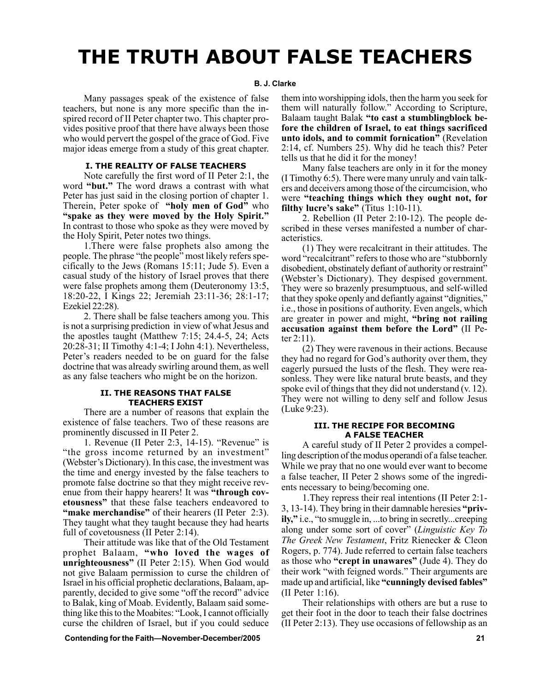## **THE TRUTH ABOUT FALSE TEACHERS**

### **B. J. Clarke**

Many passages speak of the existence of false teachers, but none is any more specific than the inspired record of II Peter chapter two. This chapter provides positive proof that there have always been those who would pervert the gospel of the grace of God. Five major ideas emerge from a study of this great chapter.

### **I. THE REALITY OF FALSE TEACHERS**

Note carefully the first word of II Peter 2:1, the word "but." The word draws a contrast with what Peter has just said in the closing portion of chapter 1. Therein, Peter spoke of "holy men of God" who **"spake as they were moved by the Holy Spirit."** In contrast to those who spoke as they were moved by the Holy Spirit, Peter notes two things.

1.There were false prophets also among the people. The phrase "the people" most likely refers specifically to the Jews (Romans 15:11; Jude 5). Even a casual study of the history of Israel proves that there were false prophets among them (Deuteronomy 13:5, 18:20-22, I Kings 22; Jeremiah 23:11-36; 28:1-17; Ezekiel 22:28).

2. There shall be false teachers among you. This is not a surprising prediction in view of what Jesus and the apostles taught (Matthew 7:15; 24.4-5, 24; Acts 20:28-31; II Timothy 4:1-4; I John 4:1). Nevertheless, Peter's readers needed to be on guard for the false doctrine that was already swirling around them, as well as any false teachers who might be on the horizon.

### **II. THE REASONS THAT FALSE TEACHERS EXIST**

There are a number of reasons that explain the existence of false teachers. Two of these reasons are prominently discussed in II Peter 2.

1. Revenue (II Peter 2:3, 14-15). "Revenue" is "the gross income returned by an investment" (Webster's Dictionary). In this case, the investment was the time and energy invested by the false teachers to promote false doctrine so that they might receive revenue from their happy hearers! It was "**through cov**etousness" that these false teachers endeavored to **"make merchandise"** of their hearers (II Peter 2:3). They taught what they taught because they had hearts full of covetousness (II Peter 2:14).

Their attitude was like that of the Old Testament prophet Balaam, "who loved the wages of unrighteousness" (II Peter 2:15). When God would not give Balaam permission to curse the children of Israel in his official prophetic declarations, Balaam, apparently, decided to give some "off the record" advice to Balak, king of Moab. Evidently, Balaam said something like this to the Moabites: "Look, I cannot officially curse the children of Israel, but if you could seduce

 **Contending for the FaithóNovember-December/2005 21**

them into worshipping idols, then the harm you seek for them will naturally follow." According to Scripture, Balaam taught Balak "to cast a stumblingblock be**fore the children of Israel, to eat things sacrificed** unto idols, and to commit fornication" (Revelation 2:14, cf. Numbers 25). Why did he teach this? Peter tells us that he did it for the money!

Many false teachers are only in it for the money (I Timothy 6:5). There were many unruly and vain talkers and deceivers among those of the circumcision, who were **"teaching things which they ought not, for filthy lucre's sake"** (Titus  $1:10-11$ ).

2. Rebellion (II Peter 2:10-12). The people described in these verses manifested a number of characteristics.

(1) They were recalcitrant in their attitudes. The word "recalcitrant" refers to those who are "stubbornly disobedient, obstinately defiant of authority or restraint" (Webster's Dictionary). They despised government. They were so brazenly presumptuous, and self-willed that they spoke openly and defiantly against "dignities," i.e., those in positions of authority. Even angels, which are greater in power and might, "bring not railing" **accusation against them before the Lord**" (II Peter 2:11).

(2) They were ravenous in their actions. Because they had no regard for God's authority over them, they eagerly pursued the lusts of the flesh. They were reasonless. They were like natural brute beasts, and they spoke evil of things that they did not understand (v. 12). They were not willing to deny self and follow Jesus (Luke 9:23).

### **III. THE RECIPE FOR BECOMING A FALSE TEACHER**

A careful study of II Peter 2 provides a compelling description of the modus operandi of a false teacher. While we pray that no one would ever want to become a false teacher, II Peter 2 shows some of the ingredients necessary to being/becoming one.

1.They repress their real intentions (II Peter 2:1- 3, 13-14). They bring in their damnable heresies "**privily,**" i.e., "to smuggle in, ...to bring in secretly...creeping along under some sort of cover" (*Linguistic Key To The Greek New Testament*, Fritz Rienecker & Cleon Rogers, p. 774). Jude referred to certain false teachers as those who **ìcrept in unawaresî** (Jude 4). They do their work "with feigned words." Their arguments are made up and artificial, like **"cunningly devised fables"** (II Peter 1:16).

Their relationships with others are but a ruse to get their foot in the door to teach their false doctrines (II Peter 2:13). They use occasions of fellowship as an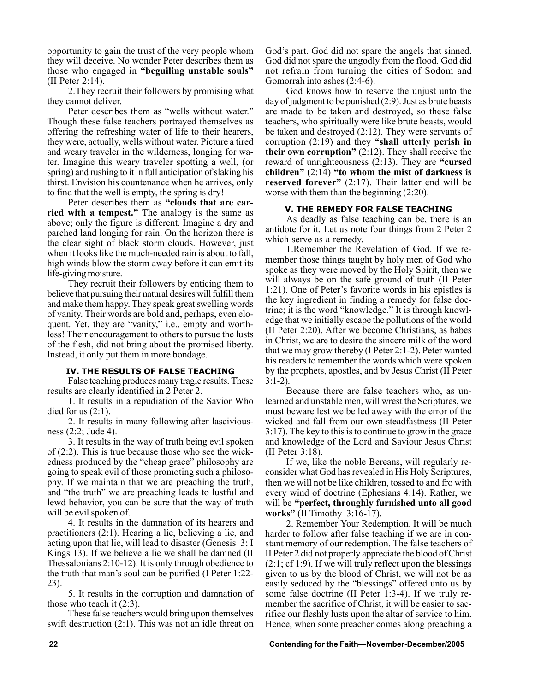opportunity to gain the trust of the very people whom they will deceive. No wonder Peter describes them as those who engaged in "beguiling unstable souls" (II Peter 2:14).

2.They recruit their followers by promising what they cannot deliver.

Peter describes them as "wells without water." Though these false teachers portrayed themselves as offering the refreshing water of life to their hearers, they were, actually, wells without water. Picture a tired and weary traveler in the wilderness, longing for water. Imagine this weary traveler spotting a well, (or spring) and rushing to it in full anticipation of slaking his thirst. Envision his countenance when he arrives, only to find that the well is empty, the spring is dry!

Peter describes them as "clouds that are car**ried with a tempest.**" The analogy is the same as above; only the figure is different. Imagine a dry and parched land longing for rain. On the horizon there is the clear sight of black storm clouds. However, just when it looks like the much-needed rain is about to fall, high winds blow the storm away before it can emit its life-giving moisture.

They recruit their followers by enticing them to believe that pursuing their natural desires will fulfill them and make them happy. They speak great swelling words of vanity. Their words are bold and, perhaps, even eloquent. Yet, they are "vanity," i.e., empty and worthless! Their encouragement to others to pursue the lusts of the flesh, did not bring about the promised liberty. Instead, it only put them in more bondage.

### **IV. THE RESULTS OF FALSE TEACHING**

False teaching produces many tragic results. These results are clearly identified in 2 Peter 2.

1. It results in a repudiation of the Savior Who died for us  $(2:1)$ .

2. It results in many following after lasciviousness (2:2; Jude 4).

3. It results in the way of truth being evil spoken of (2:2). This is true because those who see the wickedness produced by the "cheap grace" philosophy are going to speak evil of those promoting such a philosophy. If we maintain that we are preaching the truth, and "the truth" we are preaching leads to lustful and lewd behavior, you can be sure that the way of truth will be evil spoken of.

4. It results in the damnation of its hearers and practitioners (2:1). Hearing a lie, believing a lie, and acting upon that lie, will lead to disaster (Genesis 3; I Kings 13). If we believe a lie we shall be damned (II Thessalonians 2:10-12). It is only through obedience to the truth that man's soul can be purified (I Peter 1:22-23).

5. It results in the corruption and damnation of those who teach it (2:3).

These false teachers would bring upon themselves swift destruction (2:1). This was not an idle threat on God's part. God did not spare the angels that sinned. God did not spare the ungodly from the flood. God did not refrain from turning the cities of Sodom and Gomorrah into ashes (2:4-6).

God knows how to reserve the unjust unto the day of judgment to be punished (2:9). Just as brute beasts are made to be taken and destroyed, so these false teachers, who spiritually were like brute beasts, would be taken and destroyed (2:12). They were servants of corruption  $(2.19)$  and they "shall utterly perish in **their own corruption**"  $(2:12)$ . They shall receive the reward of unrighteousness (2:13). They are **"cursed** children"  $(2:14)$  "to whom the mist of darkness is **reserved forever**" (2:17). Their latter end will be worse with them than the beginning (2:20).

### **V. THE REMEDY FOR FALSE TEACHING**

As deadly as false teaching can be, there is an antidote for it. Let us note four things from 2 Peter 2 which serve as a remedy.

1.Remember the Revelation of God. If we remember those things taught by holy men of God who spoke as they were moved by the Holy Spirit, then we will always be on the safe ground of truth (II Peter 1:21). One of Peter's favorite words in his epistles is the key ingredient in finding a remedy for false doctrine; it is the word "knowledge." It is through knowledge that we initially escape the pollutions of the world (II Peter 2:20). After we become Christians, as babes in Christ, we are to desire the sincere milk of the word that we may grow thereby (I Peter 2:1-2). Peter wanted his readers to remember the words which were spoken by the prophets, apostles, and by Jesus Christ (II Peter  $3:1-2$ ).

Because there are false teachers who, as unlearned and unstable men, will wrest the Scriptures, we must beware lest we be led away with the error of the wicked and fall from our own steadfastness (II Peter 3:17). The key to this is to continue to grow in the grace and knowledge of the Lord and Saviour Jesus Christ (II Peter 3:18).

If we, like the noble Bereans, will regularly reconsider what God has revealed in His Holy Scriptures, then we will not be like children, tossed to and fro with every wind of doctrine (Ephesians 4:14). Rather, we will be "perfect, throughly furnished unto all good **works**" (II Timothy 3:16-17).

2. Remember Your Redemption. It will be much harder to follow after false teaching if we are in constant memory of our redemption. The false teachers of II Peter 2 did not properly appreciate the blood of Christ  $(2:1; cf 1:9)$ . If we will truly reflect upon the blessings given to us by the blood of Christ, we will not be as easily seduced by the "blessings" offered unto us by some false doctrine (II Peter 1:3-4). If we truly remember the sacrifice of Christ, it will be easier to sacrifice our fleshly lusts upon the altar of service to him. Hence, when some preacher comes along preaching a

**22 Contending for the Faith—November-December/2005**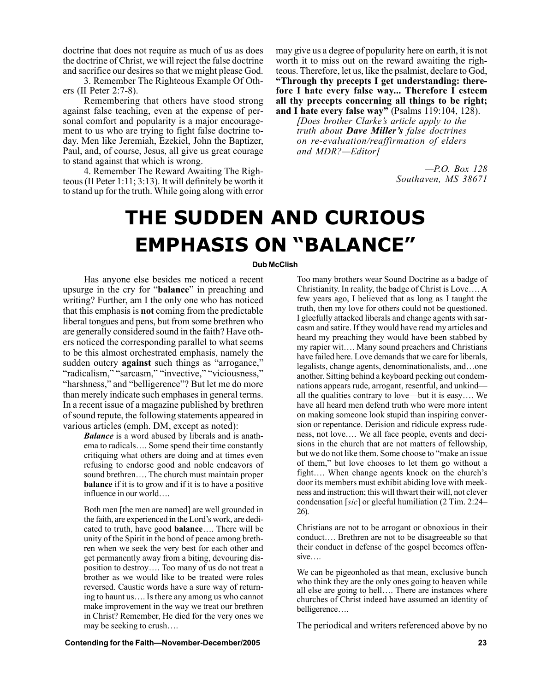doctrine that does not require as much of us as does the doctrine of Christ, we will reject the false doctrine and sacrifice our desires so that we might please God.

3. Remember The Righteous Example Of Others (II Peter 2:7-8).

Remembering that others have stood strong against false teaching, even at the expense of personal comfort and popularity is a major encouragement to us who are trying to fight false doctrine today. Men like Jeremiah, Ezekiel, John the Baptizer, Paul, and, of course, Jesus, all give us great courage to stand against that which is wrong.

4. Remember The Reward Awaiting The Righteous (II Peter 1:11; 3:13). It will definitely be worth it to stand up for the truth. While going along with error may give us a degree of popularity here on earth, it is not worth it to miss out on the reward awaiting the righteous. Therefore, let us, like the psalmist, declare to God, **ìThrough thy precepts I get understanding: therefore I hate every false way... Therefore I esteem all thy precepts concerning all things to be right;** and I hate every false way<sup>n</sup> (Psalms 119:104, 128).

*[Does brother Clarkeís article apply to the truth about Dave Millerís false doctrines on re-evaluation/reaffirmation of elders and MDR?-Editor]* 

> *óP.O. Box 128 Southaven, MS 38671*

# **THE SUDDEN AND CURIOUS EMPHASIS ON "BALANCE"**

### **Dub McClish**

Has anyone else besides me noticed a recent upsurge in the cry for "**balance**" in preaching and writing? Further, am I the only one who has noticed that this emphasis is **not** coming from the predictable liberal tongues and pens, but from some brethren who are generally considered sound in the faith? Have others noticed the corresponding parallel to what seems to be this almost orchestrated emphasis, namely the sudden outcry **against** such things as "arrogance," "radicalism," "sarcasm," "invective," "viciousness," "harshness," and "belligerence"? But let me do more than merely indicate such emphases in general terms. In a recent issue of a magazine published by brethren of sound repute, the following statements appeared in various articles (emph. DM, except as noted):

> *Balance* is a word abused by liberals and is anathema to radicals.... Some spend their time constantly critiquing what others are doing and at times even refusing to endorse good and noble endeavors of sound brethren.... The church must maintain proper **balance** if it is to grow and if it is to have a positive influence in our world....

> Both men [the men are named] are well grounded in the faith, are experienced in the Lord's work, are dedicated to truth, have good **balance**.... There will be unity of the Spirit in the bond of peace among brethren when we seek the very best for each other and get permanently away from a biting, devouring disposition to destroy.... Too many of us do not treat a brother as we would like to be treated were roles reversed. Caustic words have a sure way of returning to haunt us.... Is there any among us who cannot make improvement in the way we treat our brethren in Christ? Remember, He died for the very ones we may be seeking to crush...

Too many brothers wear Sound Doctrine as a badge of Christianity. In reality, the badge of Christ is Love.... A few years ago, I believed that as long as I taught the truth, then my love for others could not be questioned. I gleefully attacked liberals and change agents with sarcasm and satire. If they would have read my articles and heard my preaching they would have been stabbed by my rapier wit.... Many sound preachers and Christians have failed here. Love demands that we care for liberals, legalists, change agents, denominationalists, and ... one another. Sitting behind a keyboard pecking out condemnations appears rude, arrogant, resentful, and unkind all the qualities contrary to love—but it is easy.... We have all heard men defend truth who were more intent on making someone look stupid than inspiring conversion or repentance. Derision and ridicule express rudeness, not love.... We all face people, events and decisions in the church that are not matters of fellowship, but we do not like them. Some choose to "make an issue" of them," but love chooses to let them go without a fight.... When change agents knock on the church's door its members must exhibit abiding love with meekness and instruction; this will thwart their will, not clever condensation [*sic*] or gleeful humiliation (2 Tim. 2:24– 26).

Christians are not to be arrogant or obnoxious in their conduct.... Brethren are not to be disagreeable so that their conduct in defense of the gospel becomes offen $sive...$ 

We can be pigeonholed as that mean, exclusive bunch who think they are the only ones going to heaven while all else are going to hell.... There are instances where churches of Christ indeed have assumed an identity of belligerence....

The periodical and writers referenced above by no

### **Contending for the Faith—November-December/2005 23** 23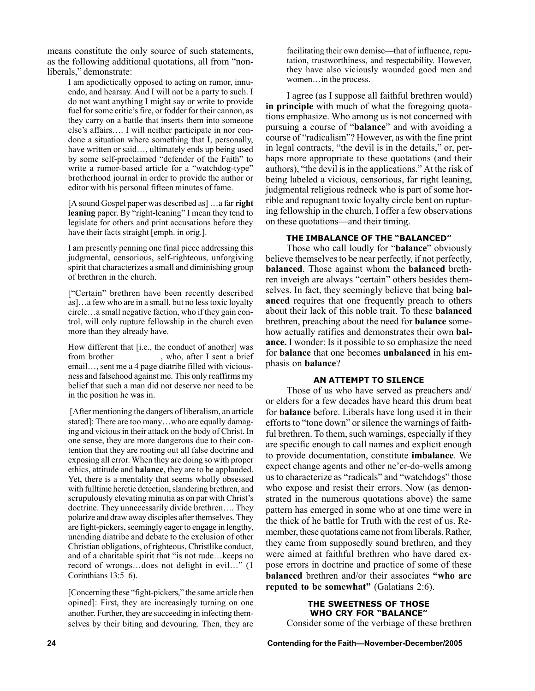means constitute the only source of such statements, as the following additional quotations, all from "nonliberals," demonstrate:

I am apodictically opposed to acting on rumor, innuendo, and hearsay. And I will not be a party to such. I do not want anything I might say or write to provide fuel for some critic's fire, or fodder for their cannon, as they carry on a battle that inserts them into someone else's affairs.... I will neither participate in nor condone a situation where something that I, personally, have written or said..., ultimately ends up being used by some self-proclaimed "defender of the Faith" to write a rumor-based article for a "watchdog-type" brotherhood journal in order to provide the author or editor with his personal fifteen minutes of fame.

[A sound Gospel paper was described as] ... a far **right** leaning paper. By "right-leaning" I mean they tend to legislate for others and print accusations before they have their facts straight [emph. in orig.].

I am presently penning one final piece addressing this judgmental, censorious, self-righteous, unforgiving spirit that characterizes a small and diminishing group of brethren in the church.

["Certain" brethren have been recently described as]...a few who are in a small, but no less toxic loyalty circle...a small negative faction, who if they gain control, will only rupture fellowship in the church even more than they already have.

How different that [i.e., the conduct of another] was from brother \_\_\_\_\_\_\_\_\_, who, after I sent a brief  $email..., sent me a 4 page diaribe filled with vicious$ ness and falsehood against me. This only reaffirms my belief that such a man did not deserve nor need to be in the position he was in.

 [After mentioning the dangers of liberalism, an article stated]: There are too many...who are equally damaging and vicious in their attack on the body of Christ. In one sense, they are more dangerous due to their contention that they are rooting out all false doctrine and exposing all error. When they are doing so with proper ethics, attitude and **balance**, they are to be applauded. Yet, there is a mentality that seems wholly obsessed with fulltime heretic detection, slandering brethren, and scrupulously elevating minutia as on par with Christ's doctrine. They unnecessarily divide brethren.... They polarize and draw away disciples after themselves. They are fight-pickers, seemingly eager to engage in lengthy, unending diatribe and debate to the exclusion of other Christian obligations, of righteous, Christlike conduct, and of a charitable spirit that "is not rude... keeps no record of wrongs...does not delight in evil..." (1) Corinthians  $13:5-6$ ).

[Concerning these "fight-pickers," the same article then opined]: First, they are increasingly turning on one another. Further, they are succeeding in infecting themselves by their biting and devouring. Then, they are

facilitating their own demise—that of influence, reputation, trustworthiness, and respectability. However, they have also viciously wounded good men and women... in the process.

I agree (as I suppose all faithful brethren would) **in principle** with much of what the foregoing quotations emphasize. Who among us is not concerned with pursuing a course of "**balance**" and with avoiding a course of "radicalism"? However, as with the fine print in legal contracts, "the devil is in the details," or, perhaps more appropriate to these quotations (and their authors), "the devil is in the applications." At the risk of being labeled a vicious, censorious, far right leaning, judgmental religious redneck who is part of some horrible and repugnant toxic loyalty circle bent on rupturing fellowship in the church, I offer a few observations on these quotations—and their timing.

### **THE IMBALANCE OF THE "BALANCED"**

Those who call loudly for "**balance**" obviously believe themselves to be near perfectly, if not perfectly, **balanced**. Those against whom the **balanced** brethren inveigh are always "certain" others besides themselves. In fact, they seemingly believe that being **balanced** requires that one frequently preach to others about their lack of this noble trait. To these **balanced** brethren, preaching about the need for **balance** somehow actually ratifies and demonstrates their own **balance.** I wonder: Is it possible to so emphasize the need for **balance** that one becomes **unbalanced** in his emphasis on **balance**?

### **AN ATTEMPT TO SILENCE**

Those of us who have served as preachers and/ or elders for a few decades have heard this drum beat for **balance** before. Liberals have long used it in their efforts to "tone down" or silence the warnings of faithful brethren. To them, such warnings, especially if they are specific enough to call names and explicit enough to provide documentation, constitute **imbalance**. We expect change agents and other ne'er-do-wells among us to characterize as "radicals" and "watchdogs" those who expose and resist their errors. Now (as demonstrated in the numerous quotations above) the same pattern has emerged in some who at one time were in the thick of he battle for Truth with the rest of us. Remember, these quotations came not from liberals. Rather, they came from supposedly sound brethren, and they were aimed at faithful brethren who have dared expose errors in doctrine and practice of some of these **balanced** brethren and/or their associates "who are **reputed to be somewhat**" (Galatians 2:6).

### **THE SWEETNESS OF THOSE WHO CRY FOR "BALANCE"**

Consider some of the verbiage of these brethren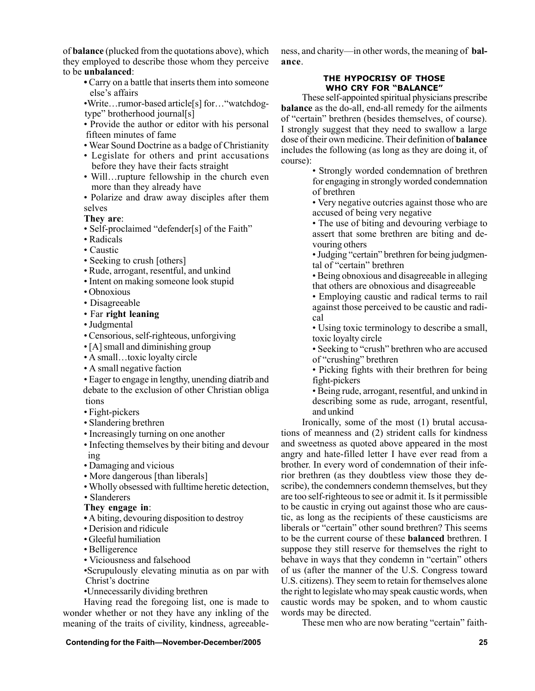of **balance** (plucked from the quotations above), which they employed to describe those whom they perceive to be **unbalanced**:

> **ï** Carry on a battle that inserts them into someone else's affairs

> •Write...rumor-based article[s] for... "watchdogtype" brotherhood journal[s]

> • Provide the author or editor with his personal fifteen minutes of fame

- Wear Sound Doctrine as a badge of Christianity
- Legislate for others and print accusations before they have their facts straight
- Will... rupture fellowship in the church even more than they already have

• Polarize and draw away disciples after them selves

**They are**:

- Self-proclaimed "defender[s] of the Faith"
- Radicals
- Caustic
- Seeking to crush [others]
- Rude, arrogant, resentful, and unkind
- Intent on making someone look stupid
- Obnoxious
- Disagreeable
- ï Far **right leaning**
- Judgmental
- Censorious, self-righteous, unforgiving
- [A] small and diminishing group
- $\bullet$  A small...toxic loyalty circle
- A small negative faction
- Eager to engage in lengthy, unending diatrib and debate to the exclusion of other Christian obliga tions
- Fight-pickers
- Slandering brethren
- Increasingly turning on one another
- Infecting themselves by their biting and devour ing
- Damaging and vicious
- More dangerous [than liberals]
- Wholly obsessed with fulltime heretic detection,
- Slanderers
- **They engage in**:
- **ï** A biting, devouring disposition to destroy
- Derision and ridicule
- Gleeful humiliation
- Belligerence
- Viciousness and falsehood

ïScrupulously elevating minutia as on par with Christ's doctrine

•Unnecessarily dividing brethren

Having read the foregoing list, one is made to wonder whether or not they have any inkling of the meaning of the traits of civility, kindness, agreeable-

**Contending for the Faith—November-December/2005** 25

ness, and charity—in other words, the meaning of **balance**.

### **THE HYPOCRISY OF THOSE WHO CRY FOR "BALANCE"**

These self-appointed spiritual physicians prescribe **balance** as the do-all, end-all remedy for the ailments of "certain" brethren (besides themselves, of course). I strongly suggest that they need to swallow a large dose of their own medicine. Their definition of **balance** includes the following (as long as they are doing it, of course):

> • Strongly worded condemnation of brethren for engaging in strongly worded condemnation of brethren

> • Very negative outcries against those who are accused of being very negative

> • The use of biting and devouring verbiage to assert that some brethren are biting and devouring others

> • Judging "certain" brethren for being judgmental of "certain" brethren

> ï Being obnoxious and disagreeable in alleging that others are obnoxious and disagreeable

> • Employing caustic and radical terms to rail against those perceived to be caustic and radical

> • Using toxic terminology to describe a small, toxic loyalty circle

> • Seeking to "crush" brethren who are accused of "crushing" brethren

> • Picking fights with their brethren for being fight-pickers

> ï Being rude, arrogant, resentful, and unkind in describing some as rude, arrogant, resentful, and unkind

Ironically, some of the most (1) brutal accusations of meanness and (2) strident calls for kindness and sweetness as quoted above appeared in the most angry and hate-filled letter I have ever read from a brother. In every word of condemnation of their inferior brethren (as they doubtless view those they describe), the condemners condemn themselves, but they are too self-righteous to see or admit it. Is it permissible to be caustic in crying out against those who are caustic, as long as the recipients of these causticisms are liberals or "certain" other sound brethren? This seems to be the current course of these **balanced** brethren. I suppose they still reserve for themselves the right to behave in ways that they condemn in "certain" others of us (after the manner of the U.S. Congress toward U.S. citizens). They seem to retain for themselves alone the right to legislate who may speak caustic words, when caustic words may be spoken, and to whom caustic words may be directed.

These men who are now berating "certain" faith-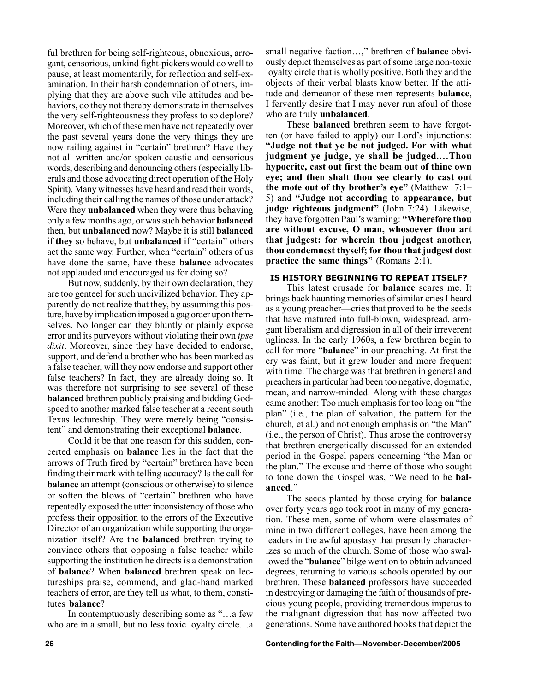ful brethren for being self-righteous, obnoxious, arrogant, censorious, unkind fight-pickers would do well to pause, at least momentarily, for reflection and self-examination. In their harsh condemnation of others, implying that they are above such vile attitudes and behaviors, do they not thereby demonstrate in themselves the very self-righteousness they profess to so deplore? Moreover, which of these men have not repeatedly over the past several years done the very things they are now railing against in "certain" brethren? Have they not all written and/or spoken caustic and censorious words, describing and denouncing others (especially liberals and those advocating direct operation of the Holy Spirit). Many witnesses have heard and read their words, including their calling the names of those under attack? Were they **unbalanced** when they were thus behaving only a few months ago, or was such behavior **balanced** then, but **unbalanced** now? Maybe it is still **balanced** if **they** so behave, but **unbalanced** if "certain" others act the same way. Further, when "certain" others of us have done the same, have these **balance** advocates not applauded and encouraged us for doing so?

But now, suddenly, by their own declaration, they are too genteel for such uncivilized behavior. They apparently do not realize that they, by assuming this posture, have by implication imposed a gag order upon themselves. No longer can they bluntly or plainly expose error and its purveyors without violating their own *ipse dixit*. Moreover, since they have decided to endorse, support, and defend a brother who has been marked as a false teacher, will they now endorse and support other false teachers? In fact, they are already doing so. It was therefore not surprising to see several of these **balanced** brethren publicly praising and bidding Godspeed to another marked false teacher at a recent south Texas lectureship. They were merely being "consistent" and demonstrating their exceptional **balance**.

Could it be that one reason for this sudden, concerted emphasis on **balance** lies in the fact that the arrows of Truth fired by "certain" brethren have been finding their mark with telling accuracy? Is the call for **balance** an attempt (conscious or otherwise) to silence or soften the blows of "certain" brethren who have repeatedly exposed the utter inconsistency of those who profess their opposition to the errors of the Executive Director of an organization while supporting the organization itself? Are the **balanced** brethren trying to convince others that opposing a false teacher while supporting the institution he directs is a demonstration of **balance**? When **balanced** brethren speak on lectureships praise, commend, and glad-hand marked teachers of error, are they tell us what, to them, constitutes **balance**?

In contemptuously describing some as "...a few who are in a small, but no less toxic loyalty circle...a

small negative faction...," brethren of **balance** obviously depict themselves as part of some large non-toxic loyalty circle that is wholly positive. Both they and the objects of their verbal blasts know better. If the attitude and demeanor of these men represents **balance,** I fervently desire that I may never run afoul of those who are truly **unbalanced**.

These **balanced** brethren seem to have forgotten (or have failed to apply) our Lord's injunctions: **ìJudge not that ye be not judged. For with what judgment ye judge, ye shall be judged....Thou hypocrite, cast out first the beam out of thine own eye; and then shalt thou see clearly to cast out the mote out of thy brother's eye"** (Matthew  $7:1-$ 5) and **ìJudge not according to appearance, but** judge righteous judgment" (John 7:24). Likewise, they have forgotten Paul's warning: "Wherefore thou **are without excuse, O man, whosoever thou art that judgest: for wherein thou judgest another, thou condemnest thyself; for thou that judgest dost practice the same things**" (Romans 2:1).

### **IS HISTORY BEGINNING TO REPEAT ITSELF?**

This latest crusade for **balance** scares me. It brings back haunting memories of similar cries I heard as a young preacher—cries that proved to be the seeds that have matured into full-blown, widespread, arrogant liberalism and digression in all of their irreverent ugliness. In the early 1960s, a few brethren begin to call for more "**balance**" in our preaching. At first the cry was faint, but it grew louder and more frequent with time. The charge was that brethren in general and preachers in particular had been too negative, dogmatic, mean, and narrow-minded. Along with these charges came another: Too much emphasis for too long on "the planî (i.e., the plan of salvation, the pattern for the church, et al.) and not enough emphasis on "the Man" (i.e., the person of Christ). Thus arose the controversy that brethren energetically discussed for an extended period in the Gospel papers concerning "the Man or the plan." The excuse and theme of those who sought to tone down the Gospel was, "We need to be **bal**anced.<sup>?</sup>

The seeds planted by those crying for **balance** over forty years ago took root in many of my generation. These men, some of whom were classmates of mine in two different colleges, have been among the leaders in the awful apostasy that presently characterizes so much of the church. Some of those who swallowed the "**balance**" bilge went on to obtain advanced degrees, returning to various schools operated by our brethren. These **balanced** professors have succeeded in destroying or damaging the faith of thousands of precious young people, providing tremendous impetus to the malignant digression that has now affected two generations. Some have authored books that depict the

**26 Contending for the Faith—November-December/2005**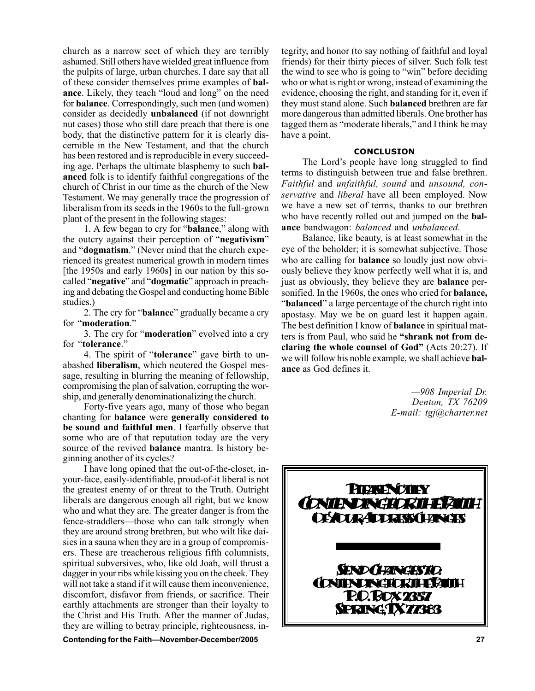church as a narrow sect of which they are terribly ashamed. Still others have wielded great influence from the pulpits of large, urban churches. I dare say that all of these consider themselves prime examples of **balance**. Likely, they teach "loud and long" on the need for **balance**. Correspondingly, such men (and women) consider as decidedly **unbalanced** (if not downright nut cases) those who still dare preach that there is one body, that the distinctive pattern for it is clearly discernible in the New Testament, and that the church has been restored and is reproducible in every succeeding age. Perhaps the ultimate blasphemy to such **balanced** folk is to identify faithful congregations of the church of Christ in our time as the church of the New Testament. We may generally trace the progression of liberalism from its seeds in the 1960s to the full-grown plant of the present in the following stages:

1. A few began to cry for "**balance**," along with the outcry against their perception of "negativism" and "**dogmatism**." (Never mind that the church experienced its greatest numerical growth in modern times [the 1950s and early 1960s] in our nation by this socalled "negative" and "dogmatic" approach in preaching and debating the Gospel and conducting home Bible studies.)

2. The cry for "**balance**" gradually became a cry for "**moderation**."

3. The cry for "**moderation**" evolved into a cry for "**tolerance**."

4. The spirit of ì**tolerance**î gave birth to unabashed **liberalism**, which neutered the Gospel message, resulting in blurring the meaning of fellowship, compromising the plan of salvation, corrupting the worship, and generally denominationalizing the church.

Forty-five years ago, many of those who began chanting for **balance** were **generally considered to be sound and faithful men**. I fearfully observe that some who are of that reputation today are the very source of the revived **balance** mantra. Is history beginning another of its cycles?

I have long opined that the out-of-the-closet, inyour-face, easily-identifiable, proud-of-it liberal is not the greatest enemy of or threat to the Truth. Outright liberals are dangerous enough all right, but we know who and what they are. The greater danger is from the fence-straddlers—those who can talk strongly when they are around strong brethren, but who wilt like daisies in a sauna when they are in a group of compromisers. These are treacherous religious fifth columnists, spiritual subversives, who, like old Joab, will thrust a dagger in your ribs while kissing you on the cheek. They will not take a stand if it will cause them inconvenience, discomfort, disfavor from friends, or sacrifice. Their earthly attachments are stronger than their loyalty to the Christ and His Truth. After the manner of Judas, they are willing to betray principle, righteousness, in-

**Contending for the FaithóNovember-December/2005 27**

tegrity, and honor (to say nothing of faithful and loyal friends) for their thirty pieces of silver. Such folk test the wind to see who is going to "win" before deciding who or what is right or wrong, instead of examining the evidence, choosing the right, and standing for it, even if they must stand alone. Such **balanced** brethren are far more dangerous than admitted liberals. One brother has tagged them as "moderate liberals," and I think he may have a point.

### **CONCLUSION**

The Lord's people have long struggled to find terms to distinguish between true and false brethren. *Faithful* and *unfaithful, sound* and *unsound, conservative* and *liberal* have all been employed. Now we have a new set of terms, thanks to our brethren who have recently rolled out and jumped on the **balance** bandwagon: *balanced* and *unbalanced*.

Balance, like beauty, is at least somewhat in the eye of the beholder; it is somewhat subjective. Those who are calling for **balance** so loudly just now obviously believe they know perfectly well what it is, and just as obviously, they believe they are **balance** personified. In the 1960s, the ones who cried for **balance, Example 3** a large percentage of the church right into apostasy. May we be on guard lest it happen again. The best definition I know of **balance** in spiritual matters is from Paul, who said he "shrank not from de**claring the whole counsel of God**" (Acts 20:27). If we will follow his noble example, we shall achieve **balance** as God defines it.

> *ó908 Imperial Dr. Denton, TX 76209 E-mail: tgj@charter.net*

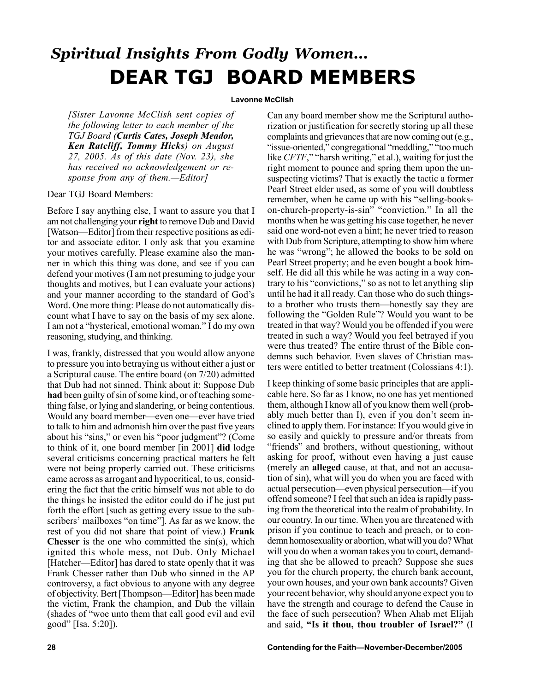### *Spiritual Insights From Godly Women...* **DEAR TGJ BOARD MEMBERS**

### **Lavonne McClish**

*[Sister Lavonne McClish sent copies of the following letter to each member of the TGJ Board (Curtis Cates, Joseph Meador, Ken Ratcliff, Tommy Hicks) on August 27, 2005. As of this date (Nov. 23), she has received no acknowledgement or response from any of them.—Editor]* 

### Dear TGJ Board Members:

Before I say anything else, I want to assure you that I am not challenging your **right** to remove Dub and David [Watson—Editor] from their respective positions as editor and associate editor. I only ask that you examine your motives carefully. Please examine also the manner in which this thing was done, and see if you can defend your motives (I am not presuming to judge your thoughts and motives, but I can evaluate your actions) and your manner according to the standard of God's Word. One more thing: Please do not automatically discount what I have to say on the basis of my sex alone. I am not a "hysterical, emotional woman." I do my own reasoning, studying, and thinking.

I was, frankly, distressed that you would allow anyone to pressure you into betraying us without either a just or a Scriptural cause. The entire board (on 7/20) admitted that Dub had not sinned. Think about it: Suppose Dub **had** been guilty of sin of some kind, or of teaching something false, or lying and slandering, or being contentious. Would any board member—even one—ever have tried to talk to him and admonish him over the past five years about his "sins," or even his "poor judgment"? (Come to think of it, one board member [in 2001] **did** lodge several criticisms concerning practical matters he felt were not being properly carried out. These criticisms came across as arrogant and hypocritical, to us, considering the fact that the critic himself was not able to do the things he insisted the editor could do if he just put forth the effort [such as getting every issue to the subscribers' mailboxes "on time"]. As far as we know, the rest of you did not share that point of view.) **Frank Chesser** is the one who committed the sin(s), which ignited this whole mess, not Dub. Only Michael [Hatcher—Editor] has dared to state openly that it was Frank Chesser rather than Dub who sinned in the AP controversy, a fact obvious to anyone with any degree of objectivity. Bert [Thompson-Editor] has been made the victim, Frank the champion, and Dub the villain (shades of "woe unto them that call good evil and evil good" [Isa. 5:20]).

Can any board member show me the Scriptural authorization or justification for secretly storing up all these complaints and grievances that are now coming out (e.g., "issue-oriented," congregational "meddling," "too much like *CFTF*," "harsh writing," et al.), waiting for just the right moment to pounce and spring them upon the unsuspecting victims? That is exactly the tactic a former Pearl Street elder used, as some of you will doubtless remember, when he came up with his "selling-bookson-church-property-is-sin" "conviction." In all the months when he was getting his case together, he never said one word-not even a hint; he never tried to reason with Dub from Scripture, attempting to show him where he was "wrong"; he allowed the books to be sold on Pearl Street property; and he even bought a book himself. He did all this while he was acting in a way contrary to his "convictions," so as not to let anything slip until he had it all ready. Can those who do such thingsto a brother who trusts them—honestly say they are following the "Golden Rule"? Would you want to be treated in that way? Would you be offended if you were treated in such a way? Would you feel betrayed if you were thus treated? The entire thrust of the Bible condemns such behavior. Even slaves of Christian masters were entitled to better treatment (Colossians 4:1).

I keep thinking of some basic principles that are applicable here. So far as I know, no one has yet mentioned them, although I know all of you know them well (probably much better than I), even if you don't seem inclined to apply them. For instance: If you would give in so easily and quickly to pressure and/or threats from "friends" and brothers, without questioning, without asking for proof, without even having a just cause (merely an **alleged** cause, at that, and not an accusation of sin), what will you do when you are faced with actual persecution—even physical persecution—if you offend someone? I feel that such an idea is rapidly passing from the theoretical into the realm of probability. In our country. In our time. When you are threatened with prison if you continue to teach and preach, or to condemn homosexuality or abortion, what will you do? What will you do when a woman takes you to court, demanding that she be allowed to preach? Suppose she sues you for the church property, the church bank account, your own houses, and your own bank accounts? Given your recent behavior, why should anyone expect you to have the strength and courage to defend the Cause in the face of such persecution? When Ahab met Elijah and said, "Is it thou, thou troubler of Israel?" (I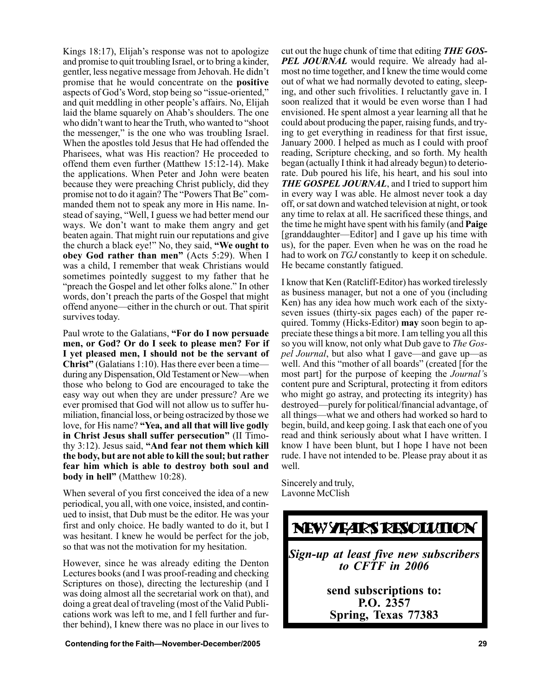Kings 18:17), Elijah's response was not to apologize and promise to quit troubling Israel, or to bring a kinder, gentler, less negative message from Jehovah. He didn't promise that he would concentrate on the **positive** aspects of God's Word, stop being so "issue-oriented," and quit meddling in other people's affairs. No, Elijah laid the blame squarely on Ahab's shoulders. The one who didn't want to hear the Truth, who wanted to "shoot" the messenger," is the one who was troubling Israel. When the apostles told Jesus that He had offended the Pharisees, what was His reaction? He proceeded to offend them even further (Matthew 15:12-14). Make the applications. When Peter and John were beaten because they were preaching Christ publicly, did they promise not to do it again? The "Powers That Be" commanded them not to speak any more in His name. Instead of saying, "Well, I guess we had better mend our ways. We don't want to make them angry and get beaten again. That might ruin our reputations and give the church a black eye!" No, they said, "We ought to **obey God rather than men**" (Acts 5:29). When I was a child, I remember that weak Christians would sometimes pointedly suggest to my father that he "preach the Gospel and let other folks alone." In other words, don't preach the parts of the Gospel that might offend anyone—either in the church or out. That spirit survives today.

Paul wrote to the Galatians, **"For do I now persuade men, or God? Or do I seek to please men? For if I yet pleased men, I should not be the servant of Christ**" (Galatians 1:10). Has there ever been a time during any Dispensation, Old Testament or New—when those who belong to God are encouraged to take the easy way out when they are under pressure? Are we ever promised that God will not allow us to suffer humiliation, financial loss, or being ostracized by those we love, for His name? "Yea, and all that will live godly **in Christ Jesus shall suffer persecution**" (II Timothy 3:12). Jesus said, "And fear not them which kill **the body, but are not able to kill the soul; but rather fear him which is able to destroy both soul and body in hell**" (Matthew 10:28).

When several of you first conceived the idea of a new periodical, you all, with one voice, insisted, and continued to insist, that Dub must be the editor. He was your first and only choice. He badly wanted to do it, but I was hesitant. I knew he would be perfect for the job, so that was not the motivation for my hesitation.

However, since he was already editing the Denton Lectures books (and I was proof-reading and checking Scriptures on those), directing the lectureship (and I was doing almost all the secretarial work on that), and doing a great deal of traveling (most of the Valid Publications work was left to me, and I fell further and further behind), I knew there was no place in our lives to

cut out the huge chunk of time that editing *THE GOS-***PEL JOURNAL** would require. We already had almost no time together, and I knew the time would come out of what we had normally devoted to eating, sleeping, and other such frivolities. I reluctantly gave in. I soon realized that it would be even worse than I had envisioned. He spent almost a year learning all that he could about producing the paper, raising funds, and trying to get everything in readiness for that first issue, January 2000. I helped as much as I could with proof reading, Scripture checking, and so forth. My health began (actually I think it had already begun) to deteriorate. Dub poured his life, his heart, and his soul into *THE GOSPEL JOURNAL*, and I tried to support him in every way I was able. He almost never took a day off, or sat down and watched television at night, or took any time to relax at all. He sacrificed these things, and the time he might have spent with his family (and **Paige** [granddaughter—Editor] and I gave up his time with us), for the paper. Even when he was on the road he had to work on *TGJ* constantly to keep it on schedule. He became constantly fatigued.

I know that Ken (Ratcliff-Editor) has worked tirelessly as business manager, but not a one of you (including Ken) has any idea how much work each of the sixtyseven issues (thirty-six pages each) of the paper required. Tommy (Hicks-Editor) **may** soon begin to appreciate these things a bit more. I am telling you all this so you will know, not only what Dub gave to *The Gospel Journal*, but also what I gave—and gave up—as well. And this "mother of all boards" (created [for the most part] for the purpose of keeping the *Journalí*s content pure and Scriptural, protecting it from editors who might go astray, and protecting its integrity) has destroyed—purely for political/financial advantage, of all things—what we and others had worked so hard to begin, build, and keep going. I ask that each one of you read and think seriously about what I have written. I know I have been blunt, but I hope I have not been rude. I have not intended to be. Please pray about it as well.

Sincerely and truly, Lavonne McClish

### NEW YEARS RESOLUTION

*Sign-up at least five new subscribers to CFTF in 2006*

> **send subscriptions to: P.O. 2357 Spring, Texas 77383**

**Contending for the Faith—November-December/2005 29**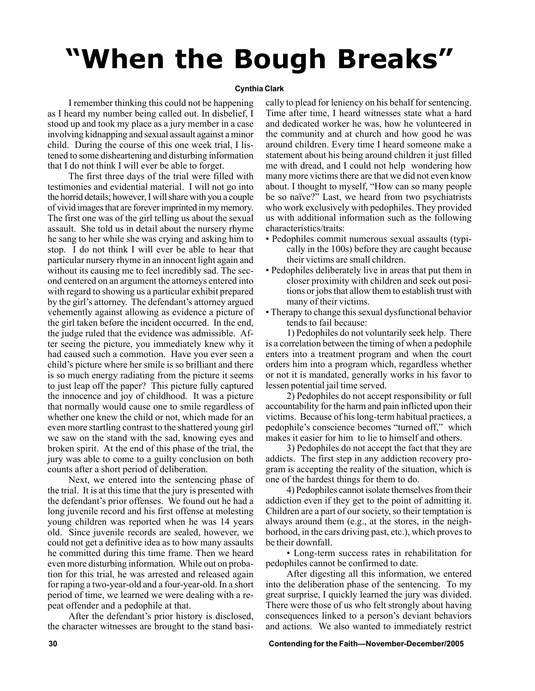# *When the Bough Breaks*

### **Cynthia Clark**

I remember thinking this could not be happening as I heard my number being called out. In disbelief, I stood up and took my place as a jury member in a case involving kidnapping and sexual assault against a minor child. During the course of this one week trial, I listened to some disheartening and disturbing information that I do not think I will ever be able to forget.

The first three days of the trial were filled with testimonies and evidential material. I will not go into the horrid details; however, I will share with you a couple of vivid images that are forever imprinted in my memory. The first one was of the girl telling us about the sexual assault. She told us in detail about the nursery rhyme he sang to her while she was crying and asking him to stop. I do not think I will ever be able to hear that particular nursery rhyme in an innocent light again and without its causing me to feel incredibly sad. The second centered on an argument the attorneys entered into with regard to showing us a particular exhibit prepared by the girl's attorney. The defendant's attorney argued vehemently against allowing as evidence a picture of the girl taken before the incident occurred. In the end, the judge ruled that the evidence was admissible. After seeing the picture, you immediately knew why it had caused such a commotion. Have you ever seen a child's picture where her smile is so brilliant and there is so much energy radiating from the picture it seems to just leap off the paper? This picture fully captured the innocence and joy of childhood. It was a picture that normally would cause one to smile regardless of whether one knew the child or not, which made for an even more startling contrast to the shattered young girl we saw on the stand with the sad, knowing eyes and broken spirit. At the end of this phase of the trial, the jury was able to come to a guilty conclusion on both counts after a short period of deliberation.

Next, we entered into the sentencing phase of the trial. It is at this time that the jury is presented with the defendant's prior offenses. We found out he had a long juvenile record and his first offense at molesting young children was reported when he was 14 years old. Since juvenile records are sealed, however, we could not get a definitive idea as to how many assaults he committed during this time frame. Then we heard even more disturbing information. While out on probation for this trial, he was arrested and released again for raping a two-year-old and a four-year-old. In a short period of time, we learned we were dealing with a repeat offender and a pedophile at that.

After the defendant's prior history is disclosed, the character witnesses are brought to the stand basically to plead for leniency on his behalf for sentencing. Time after time, I heard witnesses state what a hard and dedicated worker he was, how he volunteered in the community and at church and how good he was around children. Every time I heard someone make a statement about his being around children it just filled me with dread, and I could not help wondering how many more victims there are that we did not even know about. I thought to myself, "How can so many people be so naïve?" Last, we heard from two psychiatrists who work exclusively with pedophiles. They provided us with additional information such as the following characteristics/traits:

- ï Pedophiles commit numerous sexual assaults (typically in the 100s) before they are caught because their victims are small children.
- Pedophiles deliberately live in areas that put them in closer proximity with children and seek out positions or jobs that allow them to establish trust with many of their victims.
- Therapy to change this sexual dysfunctional behavior tends to fail because:

1) Pedophiles do not voluntarily seek help. There is a correlation between the timing of when a pedophile enters into a treatment program and when the court orders him into a program which, regardless whether or not it is mandated, generally works in his favor to lessen potential jail time served.

2) Pedophiles do not accept responsibility or full accountability for the harm and pain inflicted upon their victims. Because of his long-term habitual practices, a pedophile's conscience becomes "turned off," which makes it easier for him to lie to himself and others.

3) Pedophiles do not accept the fact that they are addicts. The first step in any addiction recovery program is accepting the reality of the situation, which is one of the hardest things for them to do.

4) Pedophiles cannot isolate themselves from their addiction even if they get to the point of admitting it. Children are a part of our society, so their temptation is always around them (e.g., at the stores, in the neighborhood, in the cars driving past, etc.), which proves to be their downfall.

ï Long-term success rates in rehabilitation for pedophiles cannot be confirmed to date.

After digesting all this information, we entered into the deliberation phase of the sentencing. To my great surprise, I quickly learned the jury was divided. There were those of us who felt strongly about having consequences linked to a person's deviant behaviors and actions. We also wanted to immediately restrict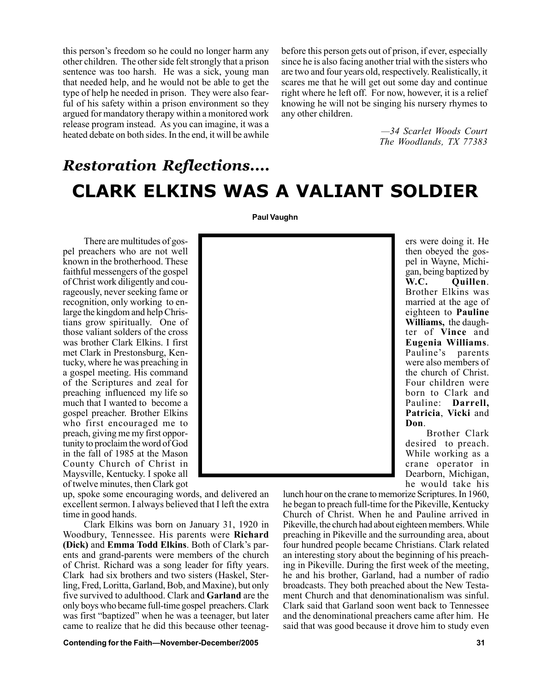this person's freedom so he could no longer harm any other children. The other side felt strongly that a prison sentence was too harsh. He was a sick, young man that needed help, and he would not be able to get the type of help he needed in prison. They were also fearful of his safety within a prison environment so they argued for mandatory therapy within a monitored work release program instead. As you can imagine, it was a heated debate on both sides. In the end, it will be awhile

before this person gets out of prison, if ever, especially since he is also facing another trial with the sisters who are two and four years old, respectively. Realistically, it scares me that he will get out some day and continue right where he left off. For now, however, it is a relief knowing he will not be singing his nursery rhymes to any other children.

> *ó34 Scarlet Woods Court The Woodlands, TX 77383*

### *Restoration Reflections....* **CLARK ELKINS WAS A VALIANT SOLDIER**

**Paul Vaughn**

There are multitudes of gospel preachers who are not well known in the brotherhood. These faithful messengers of the gospel of Christ work diligently and courageously, never seeking fame or recognition, only working to enlarge the kingdom and help Christians grow spiritually. One of those valiant solders of the cross was brother Clark Elkins. I first met Clark in Prestonsburg, Kentucky, where he was preaching in a gospel meeting. His command of the Scriptures and zeal for preaching influenced my life so much that I wanted to become a gospel preacher. Brother Elkins who first encouraged me to preach, giving me my first opportunity to proclaim the word of God in the fall of 1985 at the Mason County Church of Christ in Maysville, Kentucky. I spoke all of twelve minutes, then Clark got

up, spoke some encouraging words, and delivered an excellent sermon. I always believed that I left the extra time in good hands.

Clark Elkins was born on January 31, 1920 in Woodbury, Tennessee. His parents were **Richard (Dick)** and **Emma Todd Elkins**. Both of Clark's parents and grand-parents were members of the church of Christ. Richard was a song leader for fifty years. Clark had six brothers and two sisters (Haskel, Sterling, Fred, Loritta, Garland, Bob, and Maxine), but only five survived to adulthood. Clark and **Garland** are the only boys who became full-time gospel preachers. Clark was first "baptized" when he was a teenager, but later came to realize that he did this because other teenag-

**Contending for the Faith—November-December/2005 31** 31

ers were doing it. He then obeyed the gospel in Wayne, Michigan, being baptized by **W.C. Quillen**. Brother Elkins was married at the age of eighteen to **Pauline Williams,** the daughter of **Vince** and **Eugenia Williams**. Pauline's parents were also members of the church of Christ. Four children were born to Clark and Pauline: **Darrell, Patricia**, **Vicki** and **Don**.

Brother Clark desired to preach. While working as a crane operator in Dearborn, Michigan, he would take his

lunch hour on the crane to memorize Scriptures. In 1960, he began to preach full-time for the Pikeville, Kentucky Church of Christ. When he and Pauline arrived in Pikeville, the church had about eighteen members. While preaching in Pikeville and the surrounding area, about four hundred people became Christians. Clark related an interesting story about the beginning of his preaching in Pikeville. During the first week of the meeting, he and his brother, Garland, had a number of radio broadcasts. They both preached about the New Testament Church and that denominationalism was sinful. Clark said that Garland soon went back to Tennessee and the denominational preachers came after him. He said that was good because it drove him to study even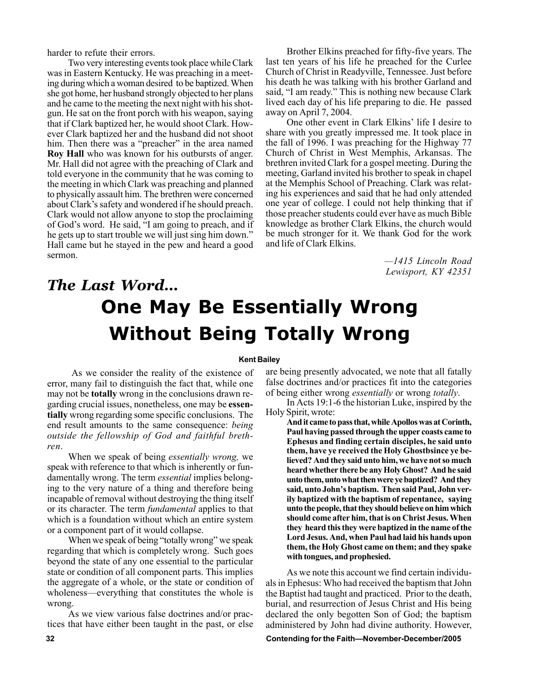harder to refute their errors.

Two very interesting events took place while Clark was in Eastern Kentucky. He was preaching in a meeting during which a woman desired to be baptized. When she got home, her husband strongly objected to her plans and he came to the meeting the next night with his shotgun. He sat on the front porch with his weapon, saying that if Clark baptized her, he would shoot Clark. However Clark baptized her and the husband did not shoot him. Then there was a "preacher" in the area named **Roy Hall** who was known for his outbursts of anger. Mr. Hall did not agree with the preaching of Clark and told everyone in the community that he was coming to the meeting in which Clark was preaching and planned to physically assault him. The brethren were concerned about Clark's safety and wondered if he should preach. Clark would not allow anyone to stop the proclaiming of God's word. He said, "I am going to preach, and if he gets up to start trouble we will just sing him down." Hall came but he stayed in the pew and heard a good sermon.

Brother Elkins preached for fifty-five years. The last ten years of his life he preached for the Curlee Church of Christ in Readyville, Tennessee. Just before his death he was talking with his brother Garland and said, "I am ready." This is nothing new because Clark lived each day of his life preparing to die. He passed away on April 7, 2004.

One other event in Clark Elkins' life I desire to share with you greatly impressed me. It took place in the fall of 1996. I was preaching for the Highway 77 Church of Christ in West Memphis, Arkansas. The brethren invited Clark for a gospel meeting. During the meeting, Garland invited his brother to speak in chapel at the Memphis School of Preaching. Clark was relating his experiences and said that he had only attended one year of college. I could not help thinking that if those preacher students could ever have as much Bible knowledge as brother Clark Elkins, the church would be much stronger for it. We thank God for the work and life of Clark Elkins.

> *ó1415 Lincoln Road Lewisport, KY 42351*

## *The Last Word...* **One May Be Essentially Wrong Without Being Totally Wrong**

### **Kent Bailey**

 As we consider the reality of the existence of error, many fail to distinguish the fact that, while one may not be **totally** wrong in the conclusions drawn regarding crucial issues, nonetheless, one may be **essentially** wrong regarding some specific conclusions. The end result amounts to the same consequence: *being outside the fellowship of God and faithful brethren*.

When we speak of being *essentially wrong,* we speak with reference to that which is inherently or fundamentally wrong. The term *essential* implies belonging to the very nature of a thing and therefore being incapable of removal without destroying the thing itself or its character. The term *fundamental* applies to that which is a foundation without which an entire system or a component part of it would collapse.

When we speak of being "totally wrong" we speak regarding that which is completely wrong. Such goes beyond the state of any one essential to the particular state or condition of all component parts. This implies the aggregate of a whole, or the state or condition of wholeness—everything that constitutes the whole is wrong.

As we view various false doctrines and/or practices that have either been taught in the past, or else are being presently advocated, we note that all fatally false doctrines and/or practices fit into the categories of being either wrong *essentially* or wrong *totally*.

In Acts 19:1-6 the historian Luke, inspired by the Holy Spirit, wrote:

**And it came to pass that, while Apollos was at Corinth, Paul having passed through the upper coasts came to Ephesus and finding certain disciples, he said unto them, have ye received the Holy Ghostbsince ye believed? And they said unto him, we have not so much heard whether there be any Holy Ghost? And he said unto them, unto what then were ye baptized? And they** said, unto John's baptism. Then said Paul, John ver**ily baptized with the baptism of repentance, saying unto the people, that they should believe on him which should come after him, that is on Christ Jesus. When they heard this they were baptized in the name of the Lord Jesus. And, when Paul had laid his hands upon them, the Holy Ghost came on them; and they spake with tongues, and prophesied.**

As we note this account we find certain individuals in Ephesus: Who had received the baptism that John the Baptist had taught and practiced. Prior to the death, burial, and resurrection of Jesus Christ and His being declared the only begotten Son of God; the baptism administered by John had divine authority. However,

**22 Contending for the Faith—November-December/2005**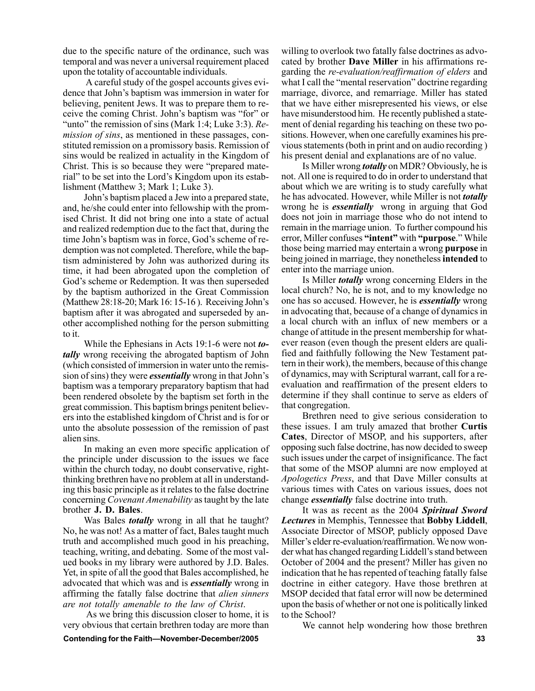due to the specific nature of the ordinance, such was temporal and was never a universal requirement placed upon the totality of accountable individuals.

 A careful study of the gospel accounts gives evidence that John's baptism was immersion in water for believing, penitent Jews. It was to prepare them to receive the coming Christ. John's baptism was "for" or "unto" the remission of sins (Mark 1:4; Luke 3:3). *Remission of sins*, as mentioned in these passages, constituted remission on a promissory basis. Remission of sins would be realized in actuality in the Kingdom of Christ. This is so because they were "prepared material" to be set into the Lord's Kingdom upon its establishment (Matthew 3; Mark 1; Luke 3).

John's baptism placed a Jew into a prepared state, and, he/she could enter into fellowship with the promised Christ. It did not bring one into a state of actual and realized redemption due to the fact that, during the time John's baptism was in force, God's scheme of redemption was not completed. Therefore, while the baptism administered by John was authorized during its time, it had been abrogated upon the completion of God's scheme or Redemption. It was then superseded by the baptism authorized in the Great Commission (Matthew 28:18-20; Mark 16: 15-16). Receiving John's baptism after it was abrogated and superseded by another accomplished nothing for the person submitting to it.

While the Ephesians in Acts 19:1-6 were not *totally* wrong receiving the abrogated baptism of John (which consisted of immersion in water unto the remission of sins) they were *essentially* wrong in that John's baptism was a temporary preparatory baptism that had been rendered obsolete by the baptism set forth in the great commission. This baptism brings penitent believers into the established kingdom of Christ and is for or unto the absolute possession of the remission of past alien sins.

In making an even more specific application of the principle under discussion to the issues we face within the church today, no doubt conservative, rightthinking brethren have no problem at all in understanding this basic principle as it relates to the false doctrine concerning *Covenant Amenability* as taught by the late brother **J. D. Bales**.

Was Bales *totally* wrong in all that he taught? No, he was not! As a matter of fact, Bales taught much truth and accomplished much good in his preaching, teaching, writing, and debating. Some of the most valued books in my library were authored by J.D. Bales. Yet, in spite of all the good that Bales accomplished, he advocated that which was and is *essentially* wrong in affirming the fatally false doctrine that *alien sinners are not totally amenable to the law of Christ*.

 As we bring this discussion closer to home, it is very obvious that certain brethren today are more than

**Contending for the Faith—November-December/2005 33** 

willing to overlook two fatally false doctrines as advocated by brother **Dave Miller** in his affirmations regarding the *re-evaluation/reaffirmation of elders* and what I call the "mental reservation" doctrine regarding marriage, divorce, and remarriage. Miller has stated that we have either misrepresented his views, or else have misunderstood him. He recently published a statement of denial regarding his teaching on these two positions. However, when one carefully examines his previous statements (both in print and on audio recording ) his present denial and explanations are of no value.

Is Miller wrong *totally* on MDR? Obviously, he is not. All one is required to do in order to understand that about which we are writing is to study carefully what he has advocated. However, while Miller is not *totally* wrong he is *essentially* wrong in arguing that God does not join in marriage those who do not intend to remain in the marriage union. To further compound his error, Miller confuses "intent" with "purpose." While those being married may entertain a wrong **purpose** in being joined in marriage, they nonetheless **intended** to enter into the marriage union.

Is Miller *totally* wrong concerning Elders in the local church? No, he is not, and to my knowledge no one has so accused. However, he is *essentially* wrong in advocating that, because of a change of dynamics in a local church with an influx of new members or a change of attitude in the present membership for whatever reason (even though the present elders are qualified and faithfully following the New Testament pattern in their work), the members, because of this change of dynamics, may with Scriptural warrant, call for a reevaluation and reaffirmation of the present elders to determine if they shall continue to serve as elders of that congregation.

Brethren need to give serious consideration to these issues. I am truly amazed that brother **Curtis Cates**, Director of MSOP, and his supporters, after opposing such false doctrine, has now decided to sweep such issues under the carpet of insignificance. The fact that some of the MSOP alumni are now employed at *Apologetics Press*, and that Dave Miller consults at various times with Cates on various issues, does not change *essentially* false doctrine into truth.

It was as recent as the 2004 *Spiritual Sword Lectures* in Memphis, Tennessee that **Bobby Liddell**, Associate Director of MSOP, publicly opposed Dave Miller's elder re-evaluation/reaffirmation. We now wonder what has changed regarding Liddell's stand between October of 2004 and the present? Miller has given no indication that he has repented of teaching fatally false doctrine in either category. Have those brethren at MSOP decided that fatal error will now be determined upon the basis of whether or not one is politically linked to the School?

We cannot help wondering how those brethren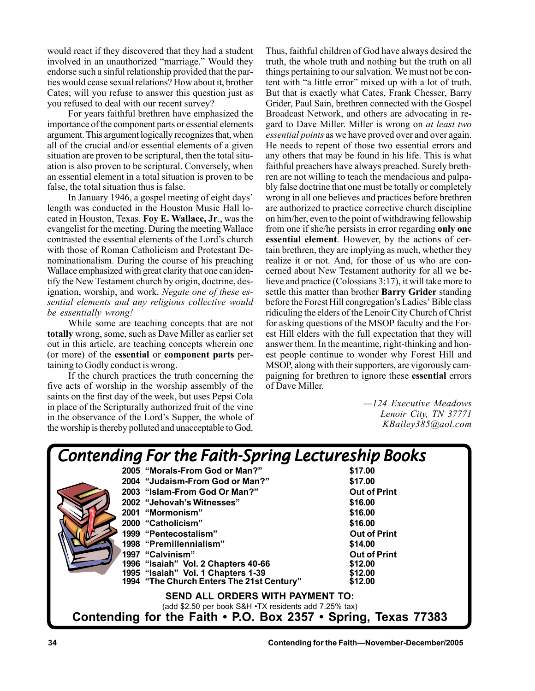would react if they discovered that they had a student involved in an unauthorized "marriage." Would they endorse such a sinful relationship provided that the parties would cease sexual relations? How about it, brother Cates; will you refuse to answer this question just as you refused to deal with our recent survey?

For years faithful brethren have emphasized the importance of the component parts or essential elements argument. This argument logically recognizes that, when all of the crucial and/or essential elements of a given situation are proven to be scriptural, then the total situation is also proven to be scriptural. Conversely, when an essential element in a total situation is proven to be false, the total situation thus is false.

In January 1946, a gospel meeting of eight days' length was conducted in the Houston Music Hall located in Houston, Texas. **Foy E. Wallace, Jr**., was the evangelist for the meeting. During the meeting Wallace contrasted the essential elements of the Lord's church with those of Roman Catholicism and Protestant Denominationalism. During the course of his preaching Wallace emphasized with great clarity that one can identify the New Testament church by origin, doctrine, designation, worship, and work. *Negate one of these essential elements and any religious collective would be essentially wrong!*

While some are teaching concepts that are not **totally** wrong, some, such as Dave Miller as earlier set out in this article, are teaching concepts wherein one (or more) of the **essential** or **component parts** pertaining to Godly conduct is wrong.

If the church practices the truth concerning the five acts of worship in the worship assembly of the saints on the first day of the week, but uses Pepsi Cola in place of the Scripturally authorized fruit of the vine in the observance of the Lord's Supper, the whole of the worship is thereby polluted and unacceptable to God.

Thus, faithful children of God have always desired the truth, the whole truth and nothing but the truth on all things pertaining to our salvation. We must not be content with "a little error" mixed up with a lot of truth. But that is exactly what Cates, Frank Chesser, Barry Grider, Paul Sain, brethren connected with the Gospel Broadcast Network, and others are advocating in regard to Dave Miller. Miller is wrong on *at least two essential points* as we have proved over and over again. He needs to repent of those two essential errors and any others that may be found in his life. This is what faithful preachers have always preached. Surely brethren are not willing to teach the mendacious and palpably false doctrine that one must be totally or completely wrong in all one believes and practices before brethren are authorized to practice corrective church discipline on him/her, even to the point of withdrawing fellowship from one if she/he persists in error regarding **only one essential element**. However, by the actions of certain brethren, they are implying as much, whether they realize it or not. And, for those of us who are concerned about New Testament authority for all we believe and practice (Colossians 3:17), it will take more to settle this matter than brother **Barry Grider** standing before the Forest Hill congregation's Ladies' Bible class ridiculing the elders of the Lenoir City Church of Christ for asking questions of the MSOP faculty and the Forest Hill elders with the full expectation that they will answer them. In the meantime, right-thinking and honest people continue to wonder why Forest Hill and MSOP, along with their supporters, are vigorously campaigning for brethren to ignore these **essential** errors of Dave Miller.

> *ó124 Executive Meadows Lenoir City, TN 37771 KBailey385@aol.com*

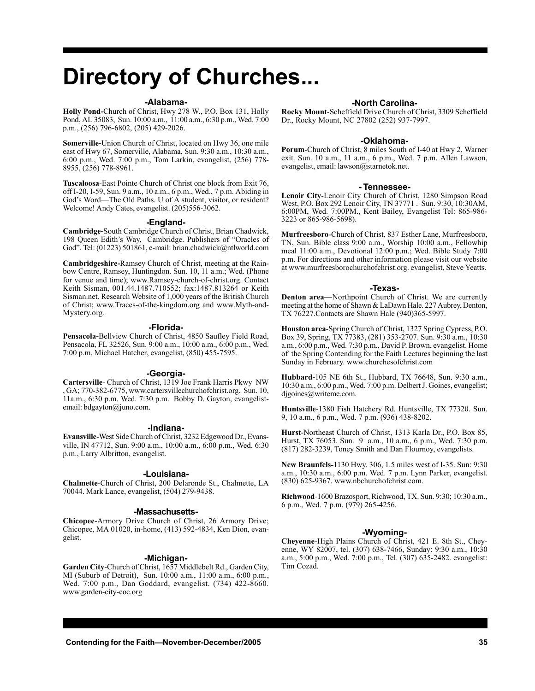## **Directory of Churches...**

#### **-Alabama-**

**Holly Pond-**Church of Christ, Hwy 278 W., P.O. Box 131, Holly Pond, AL 35083, Sun. 10:00 a.m., 11:00 a.m., 6:30 p.m., Wed. 7:00 p.m., (256) 796-6802, (205) 429-2026.

**Somerville-**Union Church of Christ, located on Hwy 36, one mile east of Hwy 67, Somerville, Alabama, Sun. 9:30 a.m., 10:30 a.m., 6:00 p.m., Wed. 7:00 p.m., Tom Larkin, evangelist, (256) 778- 8955, (256) 778-8961.

**Tuscaloosa**-East Pointe Church of Christ one block from Exit 76, off I-20, I-59, Sun. 9 a.m., 10 a.m., 6 p.m., Wed., 7 p.m. Abiding in God's Word—The Old Paths. U of A student, visitor, or resident? Welcome! Andy Cates, evangelist. (205)556-3062.

#### **-England-**

**Cambridge-**South Cambridge Church of Christ, Brian Chadwick, 198 Queen Edith's Way, Cambridge. Publishers of "Oracles of God". Tel: (01223) 501861, e-mail: brian.chadwick@ntlworld.com

**Cambridgeshire-**Ramsey Church of Christ, meeting at the Rainbow Centre, Ramsey, Huntingdon. Sun. 10, 11 a.m.; Wed. (Phone for venue and time); www.Ramsey-church-of-christ.org. Contact Keith Sisman, 001.44.1487.710552; fax:1487.813264 or Keith Sisman.net. Research Website of 1,000 years of the British Church of Christ; www.Traces-of-the-kingdom.org and www.Myth-and-Mystery.org.

#### **-Florida-**

**Pensacola-**Bellview Church of Christ, 4850 Saufley Field Road, Pensacola, FL 32526, Sun. 9:00 a.m., 10:00 a.m., 6:00 p.m., Wed. 7:00 p.m. Michael Hatcher, evangelist, (850) 455-7595.

### **-Georgia-**

**Cartersville**- Church of Christ, 1319 Joe Frank Harris Pkwy NW , GA; 770-382-6775, www.cartersvillechurchofchrist.org. Sun. 10, 11a.m., 6:30 p.m. Wed. 7:30 p.m. Bobby D. Gayton, evangelistemail: bdgayton@juno.com.

#### **-Indiana-**

**Evansville**-West Side Church of Christ, 3232 Edgewood Dr., Evansville, IN 47712, Sun. 9:00 a.m., 10:00 a.m., 6:00 p.m., Wed. 6:30 p.m., Larry Albritton, evangelist.

#### **-Louisiana-**

**Chalmette**-Church of Christ, 200 Delaronde St., Chalmette, LA 70044. Mark Lance, evangelist, (504) 279-9438.

### **-Massachusetts-**

**Chicopee**-Armory Drive Church of Christ, 26 Armory Drive; Chicopee, MA 01020, in-home, (413) 592-4834, Ken Dion, evangelist.

### **-Michigan-**

**Garden City**-Church of Christ, 1657 Middlebelt Rd., Garden City, MI (Suburb of Detroit), Sun. 10:00 a.m., 11:00 a.m., 6:00 p.m., Wed. 7:00 p.m., Dan Goddard, evangelist. (734) 422-8660. www.garden-city-coc.org

### **-North Carolina-**

**Rocky Mount**-Scheffield Drive Church of Christ, 3309 Scheffield Dr., Rocky Mount, NC 27802 (252) 937-7997.

#### **-Oklahoma-**

**Porum**-Church of Christ, 8 miles South of I-40 at Hwy 2, Warner exit. Sun. 10 a.m., 11 a.m., 6 p.m., Wed. 7 p.m. Allen Lawson, evangelist, email: lawson@starnetok.net.

#### **- Tennessee-**

**Lenoir City**-Lenoir City Church of Christ, 1280 Simpson Road West, P.O. Box 292 Lenoir City, TN 37771 . Sun. 9:30, 10:30AM, 6:00PM, Wed. 7:00PM., Kent Bailey, Evangelist Tel: 865-986- 3223 or 865-986-5698).

**Murfreesboro**-Church of Christ, 837 Esther Lane, Murfreesboro, TN, Sun. Bible class 9:00 a.m., Worship 10:00 a.m., Fellowhip meal 11:00 a.m., Devotional 12:00 p.m.; Wed. Bible Study 7:00 p.m. For directions and other information please visit our website at www.murfreesborochurchofchrist.org. evangelist, Steve Yeatts.

#### **-Texas-**

**Denton area—Northpoint Church of Christ. We are currently** meeting at the home of Shawn & LaDawn Hale. 227 Aubrey, Denton, TX 76227.Contacts are Shawn Hale (940)365-5997.

**Houston area**-Spring Church of Christ, 1327 Spring Cypress, P.O. Box 39, Spring, TX 77383, (281) 353-2707. Sun. 9:30 a.m., 10:30 a.m., 6:00 p.m., Wed. 7:30 p.m., David P. Brown, evangelist. Home of the Spring Contending for the Faith Lectures beginning the last Sunday in February. www.churchesofchrist.com

**Hubbard-**105 NE 6th St., Hubbard, TX 76648, Sun. 9:30 a.m., 10:30 a.m., 6:00 p.m., Wed. 7:00 p.m. Delbert J. Goines, evangelist; digoines@writeme.com.

**Huntsville**-1380 Fish Hatchery Rd. Huntsville, TX 77320. Sun. 9, 10 a.m., 6 p.m., Wed. 7 p.m. (936) 438-8202.

**Hurst**-Northeast Church of Christ, 1313 Karla Dr., P.O. Box 85, Hurst, TX 76053. Sun. 9 a.m., 10 a.m., 6 p.m., Wed. 7:30 p.m. (817) 282-3239, Toney Smith and Dan Flournoy, evangelists.

**New Braunfels-**1130 Hwy. 306, 1.5 miles west of I-35. Sun: 9:30 a.m., 10:30 a.m., 6:00 p.m. Wed. 7 p.m. Lynn Parker, evangelist. (830) 625-9367. www.nbchurchofchrist.com.

**Richwood**-1600 Brazosport, Richwood, TX. Sun. 9:30; 10:30 a.m., 6 p.m., Wed. 7 p.m. (979) 265-4256.

### **-Wyoming-**

**Cheyenne**-High Plains Church of Christ, 421 E. 8th St., Cheyenne, WY 82007, tel. (307) 638-7466, Sunday: 9:30 a.m., 10:30 a.m., 5:00 p.m., Wed. 7:00 p.m., Tel. (307) 635-2482. evangelist: Tim Cozad.